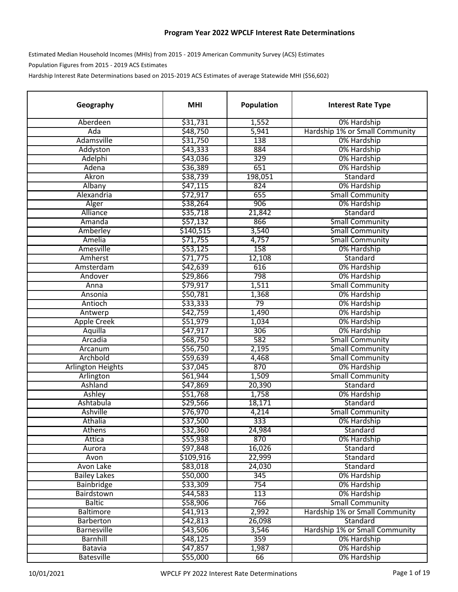## **Program Year 2022 WPCLF Interest Rate Determinations**

Estimated Median Household Incomes (MHIs) from 2015 ‐ 2019 American Community Survey (ACS) Estimates Population Figures from 2015 ‐ 2019 ACS Estimates

Hardship Interest Rate Determinations based on 2015-2019 ACS Estimates of average Statewide MHI (\$56,602)

| Geography                | <b>MHI</b> | Population | <b>Interest Rate Type</b>      |
|--------------------------|------------|------------|--------------------------------|
| Aberdeen                 | \$31,731   | 1,552      | 0% Hardship                    |
| Ada                      | \$48,750   | 5,941      | Hardship 1% or Small Community |
| Adamsville               | \$31,750   | 138        | 0% Hardship                    |
| Addyston                 | \$43,333   | 884        | 0% Hardship                    |
| Adelphi                  | \$43,036   | 329        | 0% Hardship                    |
| Adena                    | \$36,389   | 651        | 0% Hardship                    |
| Akron                    | \$38,739   | 198,051    | Standard                       |
| Albany                   | \$47,115   | 824        | 0% Hardship                    |
| Alexandria               | \$72,917   | 655        | <b>Small Community</b>         |
| Alger                    | \$38,264   | 906        | 0% Hardship                    |
| Alliance                 | \$35,718   | 21,842     | Standard                       |
| Amanda                   | \$57,132   | 866        | <b>Small Community</b>         |
| Amberley                 | \$140,515  | 3,540      | <b>Small Community</b>         |
| Amelia                   | \$71,755   | 4,757      | <b>Small Community</b>         |
| Amesville                | \$53,125   | 158        | 0% Hardship                    |
| Amherst                  | \$71,775   | 12,108     | Standard                       |
| Amsterdam                | \$42,639   | 616        | 0% Hardship                    |
| Andover                  | \$29,866   | 798        | 0% Hardship                    |
| Anna                     | \$79,917   | 1,511      | <b>Small Community</b>         |
| Ansonia                  | \$50,781   | 1,368      | 0% Hardship                    |
| Antioch                  | \$33,333   | 79         | 0% Hardship                    |
| Antwerp                  | \$42,759   | 1,490      | 0% Hardship                    |
| <b>Apple Creek</b>       | \$51,979   | 1,034      | 0% Hardship                    |
| Aquilla                  | \$47,917   | 306        | 0% Hardship                    |
| Arcadia                  | \$68,750   | 582        | <b>Small Community</b>         |
| Arcanum                  | \$56,750   | 2,195      | <b>Small Community</b>         |
| Archbold                 | \$59,639   | 4,468      | <b>Small Community</b>         |
| <b>Arlington Heights</b> | \$37,045   | 870        | 0% Hardship                    |
| Arlington                | \$61,944   | 1,509      | <b>Small Community</b>         |
| Ashland                  | \$47,869   | 20,390     | Standard                       |
| Ashley                   | \$51,768   | 1,758      | 0% Hardship                    |
| Ashtabula                | \$29,566   | 18,171     | Standard                       |
| Ashville                 | \$76,970   | 4,214      | <b>Small Community</b>         |
| Athalia                  | \$37,500   | 333        | 0% Hardship                    |
| Athens                   | \$32,360   | 24,984     | Standard                       |
| Attica                   | \$55,938   | 870        | 0% Hardship                    |
| Aurora                   | \$97,848   | 16,026     | Standard                       |
| Avon                     | \$109,916  | 22,999     | Standard                       |
| Avon Lake                | \$83,018   | 24,030     | Standard                       |
| <b>Bailey Lakes</b>      | \$50,000   | 345        | 0% Hardship                    |
| <b>Bainbridge</b>        | \$33,309   | 754        | 0% Hardship                    |
| Bairdstown               | \$44,583   | 113        | 0% Hardship                    |
| <b>Baltic</b>            | \$58,906   | 766        | <b>Small Community</b>         |
| <b>Baltimore</b>         | \$41,913   | 2,992      | Hardship 1% or Small Community |
| <b>Barberton</b>         | \$42,813   | 26,098     | Standard                       |
| <b>Barnesville</b>       | \$43,506   | 3,546      | Hardship 1% or Small Community |
| <b>Barnhill</b>          | \$48,125   | 359        | 0% Hardship                    |
| Batavia                  | \$47,857   | 1,987      | 0% Hardship                    |
| <b>Batesville</b>        | \$55,000   | 66         | 0% Hardship                    |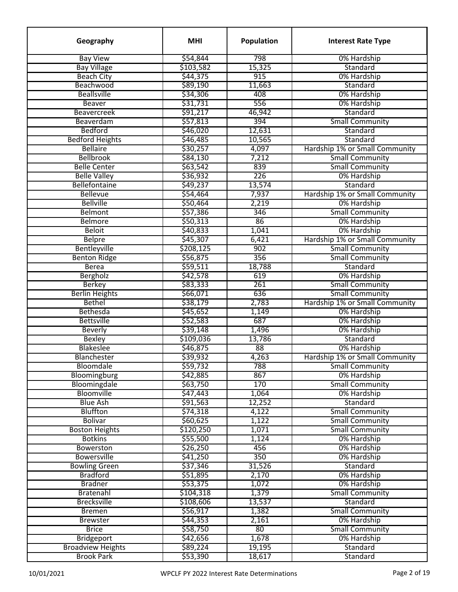| Geography                       | <b>MHI</b> | Population       | <b>Interest Rate Type</b>             |
|---------------------------------|------------|------------------|---------------------------------------|
| <b>Bay View</b>                 | \$54,844   | 798              | 0% Hardship                           |
| <b>Bay Village</b>              | \$103,582  | 15,325           | Standard                              |
| <b>Beach City</b>               | \$44,375   | 915              | 0% Hardship                           |
| Beachwood                       | \$89,190   | 11,663           | Standard                              |
| <b>Beallsville</b>              | \$34,306   | 408              | 0% Hardship                           |
| <b>Beaver</b>                   | \$31,731   | 556              | 0% Hardship                           |
| <b>Beavercreek</b>              | \$91,217   | 46,942           | Standard                              |
| Beaverdam                       | \$57,813   | 394              | <b>Small Community</b>                |
| <b>Bedford</b>                  | \$46,020   | 12,631           | Standard                              |
| <b>Bedford Heights</b>          | \$46,485   | 10,565           | Standard                              |
| <b>Bellaire</b>                 | \$30,257   | 4,097            | Hardship 1% or Small Community        |
| <b>Bellbrook</b>                | \$84,130   | 7,212            | <b>Small Community</b>                |
| <b>Belle Center</b>             | \$63,542   | 839              | <b>Small Community</b>                |
| <b>Belle Valley</b>             | \$36,932   | 226              | 0% Hardship                           |
| Bellefontaine                   | \$49,237   | 13,574           | Standard                              |
| <b>Bellevue</b>                 | \$54,464   | 7,937            | Hardship 1% or Small Community        |
| <b>Bellville</b>                | \$50,464   | 2,219            | 0% Hardship                           |
| <b>Belmont</b>                  | \$57,386   | 346              | <b>Small Community</b>                |
| <b>Belmore</b>                  | \$50,313   | 86               | 0% Hardship                           |
| <b>Beloit</b>                   | \$40,833   | 1,041            | 0% Hardship                           |
| <b>Belpre</b>                   | \$45,307   | 6,421            | Hardship 1% or Small Community        |
| Bentleyville                    | \$208,125  | 902              | <b>Small Community</b>                |
| <b>Benton Ridge</b>             | \$56,875   | 356              | <b>Small Community</b>                |
| <b>Berea</b>                    | \$59,511   | 18,788           | Standard                              |
| <b>Bergholz</b>                 | \$42,578   | 619              | 0% Hardship                           |
| <b>Berkey</b>                   | \$83,333   | 261              | <b>Small Community</b>                |
| <b>Berlin Heights</b>           | \$66,071   | 636              | <b>Small Community</b>                |
| <b>Bethel</b>                   | \$38,179   | 2,783            | Hardship 1% or Small Community        |
| Bethesda                        | \$45,652   | 1,149            | 0% Hardship                           |
| <b>Bettsville</b>               | \$52,583   | 687              | 0% Hardship                           |
| <b>Beverly</b>                  | \$39,148   | 1,496            | 0% Hardship                           |
| Bexley                          | \$109,036  | 13,786           | Standard                              |
| <b>Blakeslee</b>                | \$46,875   | 88               | 0% Hardship                           |
|                                 | \$39,932   | 4,263            | Hardship 1% or Small Community        |
| <b>Blanchester</b><br>Bloomdale | \$59,732   | 788              |                                       |
| Bloomingburg                    |            | 867              | <b>Small Community</b><br>0% Hardship |
|                                 | \$42,885   | 170              | <b>Small Community</b>                |
| Bloomingdale                    | \$63,750   |                  |                                       |
| Bloomville                      | \$47,443   | 1,064            | 0% Hardship<br>Standard               |
| <b>Blue Ash</b>                 | \$91,563   | 12,252           |                                       |
| <b>Bluffton</b>                 | \$74,318   | 4,122            | <b>Small Community</b>                |
| <b>Bolivar</b>                  | \$60,625   | 1,122            | <b>Small Community</b>                |
| <b>Boston Heights</b>           | \$120,250  | 1,071            | <b>Small Community</b>                |
| <b>Botkins</b>                  | \$55,500   | 1,124            | 0% Hardship                           |
| <b>Bowerston</b>                | \$26,250   | 456              | 0% Hardship                           |
| <b>Bowersville</b>              | \$41,250   | $\overline{350}$ | 0% Hardship                           |
| <b>Bowling Green</b>            | \$37,346   | 31,526           | Standard                              |
| <b>Bradford</b>                 | \$51,895   | 2,170            | 0% Hardship                           |
| <b>Bradner</b>                  | \$53,375   | 1,072            | 0% Hardship                           |
| Bratenahl                       | \$104,318  | 1,379            | <b>Small Community</b>                |
| <b>Brecksville</b>              | \$108,606  | 13,537           | Standard                              |
| <b>Bremen</b>                   | \$56,917   | 1,382            | <b>Small Community</b>                |
| <b>Brewster</b>                 | \$44,353   | 2,161            | 0% Hardship                           |
| <b>Brice</b>                    | \$58,750   | 80 <sup>2</sup>  | <b>Small Community</b>                |
| <b>Bridgeport</b>               | \$42,656   | 1,678            | 0% Hardship                           |
| <b>Broadview Heights</b>        | \$89,224   | 19,195           | Standard                              |
| <b>Brook Park</b>               | \$53,390   | 18,617           | Standard                              |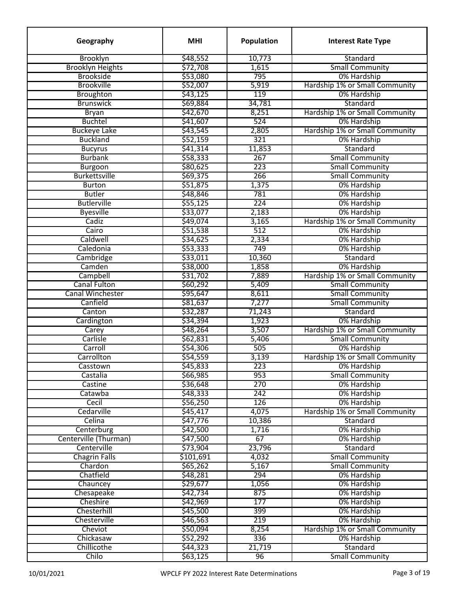| Geography               | <b>MHI</b> | Population | <b>Interest Rate Type</b>      |
|-------------------------|------------|------------|--------------------------------|
| Brooklyn                | \$48,552   | 10,773     | Standard                       |
| <b>Brooklyn Heights</b> | \$72,708   | 1,615      | <b>Small Community</b>         |
| <b>Brookside</b>        | \$53,080   | 795        | 0% Hardship                    |
| <b>Brookville</b>       | \$52,007   | 5,919      | Hardship 1% or Small Community |
| Broughton               | \$43,125   | 119        | 0% Hardship                    |
| <b>Brunswick</b>        | \$69,884   | 34,781     | Standard                       |
| <b>Bryan</b>            | \$42,670   | 8,251      | Hardship 1% or Small Community |
| <b>Buchtel</b>          | \$41,607   | 524        | 0% Hardship                    |
| <b>Buckeye Lake</b>     | \$43,545   | 2,805      | Hardship 1% or Small Community |
| <b>Buckland</b>         | \$52,159   | 321        | 0% Hardship                    |
| <b>Bucyrus</b>          | \$41,314   | 11,853     | Standard                       |
| <b>Burbank</b>          | \$58,333   | 267        | <b>Small Community</b>         |
| <b>Burgoon</b>          | \$80,625   | 223        | <b>Small Community</b>         |
| <b>Burkettsville</b>    | \$69,375   | 266        | <b>Small Community</b>         |
| <b>Burton</b>           | \$51,875   | 1,375      | 0% Hardship                    |
| <b>Butler</b>           | \$48,846   | 781        | 0% Hardship                    |
| <b>Butlerville</b>      | \$55,125   | 224        | 0% Hardship                    |
| <b>Byesville</b>        | \$33,077   | 2,183      | 0% Hardship                    |
| Cadiz                   | \$49,074   | 3,165      | Hardship 1% or Small Community |
| Cairo                   | \$51,538   | 512        | 0% Hardship                    |
| Caldwell                | \$34,625   | 2,334      | 0% Hardship                    |
| Caledonia               | \$53,333   | 749        | 0% Hardship                    |
| Cambridge               | \$33,011   | 10,360     | Standard                       |
| Camden                  | \$38,000   | 1,858      | 0% Hardship                    |
| Campbell                | \$31,702   | 7,889      | Hardship 1% or Small Community |
| <b>Canal Fulton</b>     | \$60,292   | 5,409      | <b>Small Community</b>         |
| <b>Canal Winchester</b> | \$95,647   | 8,611      | <b>Small Community</b>         |
| Canfield                | \$81,637   | 7,277      | <b>Small Community</b>         |
| Canton                  | \$32,287   | 71,243     | Standard                       |
| Cardington              | \$34,394   | 1,923      | 0% Hardship                    |
|                         | \$48,264   | 3,507      | Hardship 1% or Small Community |
| Carey<br>Carlisle       | \$62,831   | 5,406      | <b>Small Community</b>         |
| Carroll                 |            | 505        | 0% Hardship                    |
|                         | \$54,306   |            | Hardship 1% or Small Community |
| Carrollton              | \$54,559   | 3,139      |                                |
| Casstown                | \$45,833   | 223        | 0% Hardship                    |
| Castalia                | \$66,985   | 953        | <b>Small Community</b>         |
| Castine                 | \$36,648   | 270        | 0% Hardship                    |
| Catawba                 | \$48,333   | 242        | 0% Hardship                    |
| Cecil                   | \$56,250   | 126        | 0% Hardship                    |
| Cedarville              | \$45,417   | 4,075      | Hardship 1% or Small Community |
| Celina                  | \$47,776   | 10,386     | Standard                       |
| Centerburg              | \$42,500   | 1,716      | 0% Hardship                    |
| Centerville (Thurman)   | \$47,500   | 67         | 0% Hardship                    |
| Centerville             | \$73,904   | 23,796     | Standard                       |
| <b>Chagrin Falls</b>    | \$101,691  | 4,032      | <b>Small Community</b>         |
| Chardon                 | \$65,262   | 5,167      | <b>Small Community</b>         |
| Chatfield               | \$48,281   | 294        | 0% Hardship                    |
| Chauncey                | \$29,677   | 1,056      | 0% Hardship                    |
| Chesapeake              | \$42,734   | 875        | 0% Hardship                    |
| Cheshire                | \$42,969   | 177        | 0% Hardship                    |
| Chesterhill             | \$45,500   | 399        | 0% Hardship                    |
| Chesterville            | \$46,563   | 219        | 0% Hardship                    |
| Cheviot                 | \$50,094   | 8,254      | Hardship 1% or Small Community |
| Chickasaw               | \$52,292   | 336        | 0% Hardship                    |
| Chillicothe             | \$44,323   | 21,719     | Standard                       |
| Chilo                   | \$63,125   | 96         | <b>Small Community</b>         |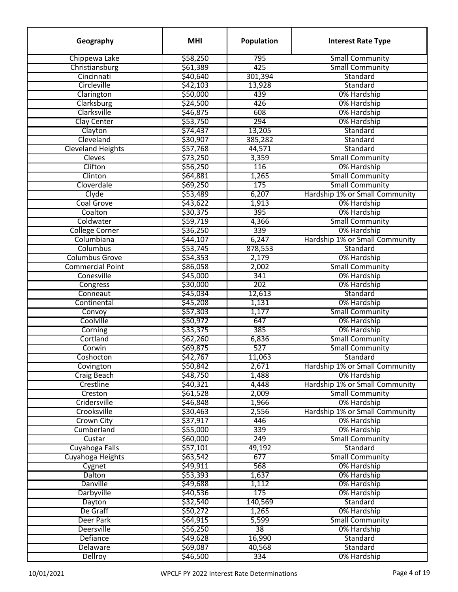| Chippewa Lake<br>\$58,250<br>795<br><b>Small Community</b><br>\$61,389<br>425<br>Christiansburg<br><b>Small Community</b><br>Cincinnati<br>\$40,640<br>301,394<br>Standard<br>Circleville<br>\$42,103<br>13,928<br>Standard<br>439<br>\$50,000<br>0% Hardship<br>Clarington<br>426<br>\$24,500<br>Clarksburg<br>0% Hardship<br>Clarksville<br>\$46,875<br>608<br>0% Hardship<br>294<br>\$53,750<br><b>Clay Center</b><br>0% Hardship<br>\$74,437<br>13,205<br>Clayton<br>Standard<br>Cleveland<br>\$30,907<br>385,282<br>Standard<br><b>Cleveland Heights</b><br>Standard<br>\$57,768<br>44,571<br>Cleves<br>3,359<br><b>Small Community</b><br>\$73,250<br>Clifton<br>\$56,250<br>116<br>0% Hardship<br>1,265<br>Clinton<br>\$64,881<br><b>Small Community</b><br>175<br>Cloverdale<br>\$69,250<br><b>Small Community</b><br>6,207<br>Clyde<br>\$53,489<br>Hardship 1% or Small Community<br><b>Coal Grove</b><br>\$43,622<br>1,913<br>0% Hardship<br>\$30,375<br>395<br>Coalton<br>0% Hardship<br>\$59,719<br>4,366<br>Coldwater<br><b>Small Community</b><br>\$36,250<br>339<br><b>College Corner</b><br>0% Hardship<br>\$44,107<br>6,247<br>Hardship 1% or Small Community<br>Columbiana<br>\$53,745<br>878,553<br>Columbus<br>Standard<br><b>Columbus Grove</b><br>\$54,353<br>2,179<br>0% Hardship<br><b>Commercial Point</b><br>\$86,058<br>2,002<br><b>Small Community</b><br>Conesville<br>\$45,000<br>0% Hardship<br>341<br>\$30,000<br>202<br>0% Hardship<br>Congress<br>\$45,034<br>Standard<br>Conneaut<br>12,613<br>Continental<br>\$45,208<br>1,131<br>0% Hardship<br>Convoy<br>\$57,303<br>1,177<br><b>Small Community</b><br>Coolville<br>\$50,972<br>647<br>0% Hardship<br>385<br>\$33,375<br>0% Hardship<br>Corning<br>\$62,260<br><b>Small Community</b><br>Cortland<br>6,836<br>\$69,875<br>527<br><b>Small Community</b><br>Corwin<br>\$42,767<br>11,063<br>Coshocton<br>Standard<br>Covington<br>\$50,842<br>2,671<br>Hardship 1% or Small Community<br><b>Craig Beach</b><br>1,488<br>0% Hardship<br>\$48,750<br>Hardship 1% or Small Community<br>Crestline<br>\$40,321<br>4,448<br><b>Small Community</b><br>Creston<br>\$61,528<br>2,009<br>0% Hardship<br>Cridersville<br>\$46,848<br>1,966<br>Crooksville<br>Hardship 1% or Small Community<br>\$30,463<br>2,556<br><b>Crown City</b><br>\$37,917<br>446<br>0% Hardship<br>339<br>Cumberland<br>\$55,000<br>0% Hardship<br>\$60,000<br>249<br><b>Small Community</b><br>Custar<br>Cuyahoga Falls<br>\$57,101<br>49,192<br>Standard<br>Cuyahoga Heights<br>\$63,542<br>677<br><b>Small Community</b><br>568<br>\$49,911<br>Cygnet<br>0% Hardship<br>Dalton<br>\$53,393<br>1,637<br>0% Hardship<br>Danville<br>0% Hardship<br>\$49,688<br>1,112<br>Darbyville<br>175<br>0% Hardship<br>\$40,536<br>140,569<br>\$32,540<br>Standard<br>Dayton<br>De Graff<br>0% Hardship<br>\$50,272<br>1,265<br>Deer Park<br>564,915<br><b>Small Community</b><br>5,599<br>Deersville<br>38<br>0% Hardship<br>\$56,250<br>Defiance<br>16,990<br>\$49,628<br>Standard<br>Standard<br>Delaware<br>\$69,087<br>40,568<br>334<br>0% Hardship | Geography | <b>MHI</b> | <b>Population</b> | <b>Interest Rate Type</b> |
|-----------------------------------------------------------------------------------------------------------------------------------------------------------------------------------------------------------------------------------------------------------------------------------------------------------------------------------------------------------------------------------------------------------------------------------------------------------------------------------------------------------------------------------------------------------------------------------------------------------------------------------------------------------------------------------------------------------------------------------------------------------------------------------------------------------------------------------------------------------------------------------------------------------------------------------------------------------------------------------------------------------------------------------------------------------------------------------------------------------------------------------------------------------------------------------------------------------------------------------------------------------------------------------------------------------------------------------------------------------------------------------------------------------------------------------------------------------------------------------------------------------------------------------------------------------------------------------------------------------------------------------------------------------------------------------------------------------------------------------------------------------------------------------------------------------------------------------------------------------------------------------------------------------------------------------------------------------------------------------------------------------------------------------------------------------------------------------------------------------------------------------------------------------------------------------------------------------------------------------------------------------------------------------------------------------------------------------------------------------------------------------------------------------------------------------------------------------------------------------------------------------------------------------------------------------------------------------------------------------------------------------------------------------------------------------------------------------------------------------------------------------------------------------------------------------------------------------------------------------------------------------------------------------------------------------------------------------------------------------------------------------------------------------------------------------------------------------------------------|-----------|------------|-------------------|---------------------------|
|                                                                                                                                                                                                                                                                                                                                                                                                                                                                                                                                                                                                                                                                                                                                                                                                                                                                                                                                                                                                                                                                                                                                                                                                                                                                                                                                                                                                                                                                                                                                                                                                                                                                                                                                                                                                                                                                                                                                                                                                                                                                                                                                                                                                                                                                                                                                                                                                                                                                                                                                                                                                                                                                                                                                                                                                                                                                                                                                                                                                                                                                                                     |           |            |                   |                           |
|                                                                                                                                                                                                                                                                                                                                                                                                                                                                                                                                                                                                                                                                                                                                                                                                                                                                                                                                                                                                                                                                                                                                                                                                                                                                                                                                                                                                                                                                                                                                                                                                                                                                                                                                                                                                                                                                                                                                                                                                                                                                                                                                                                                                                                                                                                                                                                                                                                                                                                                                                                                                                                                                                                                                                                                                                                                                                                                                                                                                                                                                                                     |           |            |                   |                           |
|                                                                                                                                                                                                                                                                                                                                                                                                                                                                                                                                                                                                                                                                                                                                                                                                                                                                                                                                                                                                                                                                                                                                                                                                                                                                                                                                                                                                                                                                                                                                                                                                                                                                                                                                                                                                                                                                                                                                                                                                                                                                                                                                                                                                                                                                                                                                                                                                                                                                                                                                                                                                                                                                                                                                                                                                                                                                                                                                                                                                                                                                                                     |           |            |                   |                           |
|                                                                                                                                                                                                                                                                                                                                                                                                                                                                                                                                                                                                                                                                                                                                                                                                                                                                                                                                                                                                                                                                                                                                                                                                                                                                                                                                                                                                                                                                                                                                                                                                                                                                                                                                                                                                                                                                                                                                                                                                                                                                                                                                                                                                                                                                                                                                                                                                                                                                                                                                                                                                                                                                                                                                                                                                                                                                                                                                                                                                                                                                                                     |           |            |                   |                           |
|                                                                                                                                                                                                                                                                                                                                                                                                                                                                                                                                                                                                                                                                                                                                                                                                                                                                                                                                                                                                                                                                                                                                                                                                                                                                                                                                                                                                                                                                                                                                                                                                                                                                                                                                                                                                                                                                                                                                                                                                                                                                                                                                                                                                                                                                                                                                                                                                                                                                                                                                                                                                                                                                                                                                                                                                                                                                                                                                                                                                                                                                                                     |           |            |                   |                           |
|                                                                                                                                                                                                                                                                                                                                                                                                                                                                                                                                                                                                                                                                                                                                                                                                                                                                                                                                                                                                                                                                                                                                                                                                                                                                                                                                                                                                                                                                                                                                                                                                                                                                                                                                                                                                                                                                                                                                                                                                                                                                                                                                                                                                                                                                                                                                                                                                                                                                                                                                                                                                                                                                                                                                                                                                                                                                                                                                                                                                                                                                                                     |           |            |                   |                           |
|                                                                                                                                                                                                                                                                                                                                                                                                                                                                                                                                                                                                                                                                                                                                                                                                                                                                                                                                                                                                                                                                                                                                                                                                                                                                                                                                                                                                                                                                                                                                                                                                                                                                                                                                                                                                                                                                                                                                                                                                                                                                                                                                                                                                                                                                                                                                                                                                                                                                                                                                                                                                                                                                                                                                                                                                                                                                                                                                                                                                                                                                                                     |           |            |                   |                           |
|                                                                                                                                                                                                                                                                                                                                                                                                                                                                                                                                                                                                                                                                                                                                                                                                                                                                                                                                                                                                                                                                                                                                                                                                                                                                                                                                                                                                                                                                                                                                                                                                                                                                                                                                                                                                                                                                                                                                                                                                                                                                                                                                                                                                                                                                                                                                                                                                                                                                                                                                                                                                                                                                                                                                                                                                                                                                                                                                                                                                                                                                                                     |           |            |                   |                           |
|                                                                                                                                                                                                                                                                                                                                                                                                                                                                                                                                                                                                                                                                                                                                                                                                                                                                                                                                                                                                                                                                                                                                                                                                                                                                                                                                                                                                                                                                                                                                                                                                                                                                                                                                                                                                                                                                                                                                                                                                                                                                                                                                                                                                                                                                                                                                                                                                                                                                                                                                                                                                                                                                                                                                                                                                                                                                                                                                                                                                                                                                                                     |           |            |                   |                           |
|                                                                                                                                                                                                                                                                                                                                                                                                                                                                                                                                                                                                                                                                                                                                                                                                                                                                                                                                                                                                                                                                                                                                                                                                                                                                                                                                                                                                                                                                                                                                                                                                                                                                                                                                                                                                                                                                                                                                                                                                                                                                                                                                                                                                                                                                                                                                                                                                                                                                                                                                                                                                                                                                                                                                                                                                                                                                                                                                                                                                                                                                                                     |           |            |                   |                           |
|                                                                                                                                                                                                                                                                                                                                                                                                                                                                                                                                                                                                                                                                                                                                                                                                                                                                                                                                                                                                                                                                                                                                                                                                                                                                                                                                                                                                                                                                                                                                                                                                                                                                                                                                                                                                                                                                                                                                                                                                                                                                                                                                                                                                                                                                                                                                                                                                                                                                                                                                                                                                                                                                                                                                                                                                                                                                                                                                                                                                                                                                                                     |           |            |                   |                           |
|                                                                                                                                                                                                                                                                                                                                                                                                                                                                                                                                                                                                                                                                                                                                                                                                                                                                                                                                                                                                                                                                                                                                                                                                                                                                                                                                                                                                                                                                                                                                                                                                                                                                                                                                                                                                                                                                                                                                                                                                                                                                                                                                                                                                                                                                                                                                                                                                                                                                                                                                                                                                                                                                                                                                                                                                                                                                                                                                                                                                                                                                                                     |           |            |                   |                           |
|                                                                                                                                                                                                                                                                                                                                                                                                                                                                                                                                                                                                                                                                                                                                                                                                                                                                                                                                                                                                                                                                                                                                                                                                                                                                                                                                                                                                                                                                                                                                                                                                                                                                                                                                                                                                                                                                                                                                                                                                                                                                                                                                                                                                                                                                                                                                                                                                                                                                                                                                                                                                                                                                                                                                                                                                                                                                                                                                                                                                                                                                                                     |           |            |                   |                           |
|                                                                                                                                                                                                                                                                                                                                                                                                                                                                                                                                                                                                                                                                                                                                                                                                                                                                                                                                                                                                                                                                                                                                                                                                                                                                                                                                                                                                                                                                                                                                                                                                                                                                                                                                                                                                                                                                                                                                                                                                                                                                                                                                                                                                                                                                                                                                                                                                                                                                                                                                                                                                                                                                                                                                                                                                                                                                                                                                                                                                                                                                                                     |           |            |                   |                           |
|                                                                                                                                                                                                                                                                                                                                                                                                                                                                                                                                                                                                                                                                                                                                                                                                                                                                                                                                                                                                                                                                                                                                                                                                                                                                                                                                                                                                                                                                                                                                                                                                                                                                                                                                                                                                                                                                                                                                                                                                                                                                                                                                                                                                                                                                                                                                                                                                                                                                                                                                                                                                                                                                                                                                                                                                                                                                                                                                                                                                                                                                                                     |           |            |                   |                           |
|                                                                                                                                                                                                                                                                                                                                                                                                                                                                                                                                                                                                                                                                                                                                                                                                                                                                                                                                                                                                                                                                                                                                                                                                                                                                                                                                                                                                                                                                                                                                                                                                                                                                                                                                                                                                                                                                                                                                                                                                                                                                                                                                                                                                                                                                                                                                                                                                                                                                                                                                                                                                                                                                                                                                                                                                                                                                                                                                                                                                                                                                                                     |           |            |                   |                           |
|                                                                                                                                                                                                                                                                                                                                                                                                                                                                                                                                                                                                                                                                                                                                                                                                                                                                                                                                                                                                                                                                                                                                                                                                                                                                                                                                                                                                                                                                                                                                                                                                                                                                                                                                                                                                                                                                                                                                                                                                                                                                                                                                                                                                                                                                                                                                                                                                                                                                                                                                                                                                                                                                                                                                                                                                                                                                                                                                                                                                                                                                                                     |           |            |                   |                           |
|                                                                                                                                                                                                                                                                                                                                                                                                                                                                                                                                                                                                                                                                                                                                                                                                                                                                                                                                                                                                                                                                                                                                                                                                                                                                                                                                                                                                                                                                                                                                                                                                                                                                                                                                                                                                                                                                                                                                                                                                                                                                                                                                                                                                                                                                                                                                                                                                                                                                                                                                                                                                                                                                                                                                                                                                                                                                                                                                                                                                                                                                                                     |           |            |                   |                           |
|                                                                                                                                                                                                                                                                                                                                                                                                                                                                                                                                                                                                                                                                                                                                                                                                                                                                                                                                                                                                                                                                                                                                                                                                                                                                                                                                                                                                                                                                                                                                                                                                                                                                                                                                                                                                                                                                                                                                                                                                                                                                                                                                                                                                                                                                                                                                                                                                                                                                                                                                                                                                                                                                                                                                                                                                                                                                                                                                                                                                                                                                                                     |           |            |                   |                           |
|                                                                                                                                                                                                                                                                                                                                                                                                                                                                                                                                                                                                                                                                                                                                                                                                                                                                                                                                                                                                                                                                                                                                                                                                                                                                                                                                                                                                                                                                                                                                                                                                                                                                                                                                                                                                                                                                                                                                                                                                                                                                                                                                                                                                                                                                                                                                                                                                                                                                                                                                                                                                                                                                                                                                                                                                                                                                                                                                                                                                                                                                                                     |           |            |                   |                           |
|                                                                                                                                                                                                                                                                                                                                                                                                                                                                                                                                                                                                                                                                                                                                                                                                                                                                                                                                                                                                                                                                                                                                                                                                                                                                                                                                                                                                                                                                                                                                                                                                                                                                                                                                                                                                                                                                                                                                                                                                                                                                                                                                                                                                                                                                                                                                                                                                                                                                                                                                                                                                                                                                                                                                                                                                                                                                                                                                                                                                                                                                                                     |           |            |                   |                           |
|                                                                                                                                                                                                                                                                                                                                                                                                                                                                                                                                                                                                                                                                                                                                                                                                                                                                                                                                                                                                                                                                                                                                                                                                                                                                                                                                                                                                                                                                                                                                                                                                                                                                                                                                                                                                                                                                                                                                                                                                                                                                                                                                                                                                                                                                                                                                                                                                                                                                                                                                                                                                                                                                                                                                                                                                                                                                                                                                                                                                                                                                                                     |           |            |                   |                           |
|                                                                                                                                                                                                                                                                                                                                                                                                                                                                                                                                                                                                                                                                                                                                                                                                                                                                                                                                                                                                                                                                                                                                                                                                                                                                                                                                                                                                                                                                                                                                                                                                                                                                                                                                                                                                                                                                                                                                                                                                                                                                                                                                                                                                                                                                                                                                                                                                                                                                                                                                                                                                                                                                                                                                                                                                                                                                                                                                                                                                                                                                                                     |           |            |                   |                           |
|                                                                                                                                                                                                                                                                                                                                                                                                                                                                                                                                                                                                                                                                                                                                                                                                                                                                                                                                                                                                                                                                                                                                                                                                                                                                                                                                                                                                                                                                                                                                                                                                                                                                                                                                                                                                                                                                                                                                                                                                                                                                                                                                                                                                                                                                                                                                                                                                                                                                                                                                                                                                                                                                                                                                                                                                                                                                                                                                                                                                                                                                                                     |           |            |                   |                           |
|                                                                                                                                                                                                                                                                                                                                                                                                                                                                                                                                                                                                                                                                                                                                                                                                                                                                                                                                                                                                                                                                                                                                                                                                                                                                                                                                                                                                                                                                                                                                                                                                                                                                                                                                                                                                                                                                                                                                                                                                                                                                                                                                                                                                                                                                                                                                                                                                                                                                                                                                                                                                                                                                                                                                                                                                                                                                                                                                                                                                                                                                                                     |           |            |                   |                           |
|                                                                                                                                                                                                                                                                                                                                                                                                                                                                                                                                                                                                                                                                                                                                                                                                                                                                                                                                                                                                                                                                                                                                                                                                                                                                                                                                                                                                                                                                                                                                                                                                                                                                                                                                                                                                                                                                                                                                                                                                                                                                                                                                                                                                                                                                                                                                                                                                                                                                                                                                                                                                                                                                                                                                                                                                                                                                                                                                                                                                                                                                                                     |           |            |                   |                           |
|                                                                                                                                                                                                                                                                                                                                                                                                                                                                                                                                                                                                                                                                                                                                                                                                                                                                                                                                                                                                                                                                                                                                                                                                                                                                                                                                                                                                                                                                                                                                                                                                                                                                                                                                                                                                                                                                                                                                                                                                                                                                                                                                                                                                                                                                                                                                                                                                                                                                                                                                                                                                                                                                                                                                                                                                                                                                                                                                                                                                                                                                                                     |           |            |                   |                           |
|                                                                                                                                                                                                                                                                                                                                                                                                                                                                                                                                                                                                                                                                                                                                                                                                                                                                                                                                                                                                                                                                                                                                                                                                                                                                                                                                                                                                                                                                                                                                                                                                                                                                                                                                                                                                                                                                                                                                                                                                                                                                                                                                                                                                                                                                                                                                                                                                                                                                                                                                                                                                                                                                                                                                                                                                                                                                                                                                                                                                                                                                                                     |           |            |                   |                           |
|                                                                                                                                                                                                                                                                                                                                                                                                                                                                                                                                                                                                                                                                                                                                                                                                                                                                                                                                                                                                                                                                                                                                                                                                                                                                                                                                                                                                                                                                                                                                                                                                                                                                                                                                                                                                                                                                                                                                                                                                                                                                                                                                                                                                                                                                                                                                                                                                                                                                                                                                                                                                                                                                                                                                                                                                                                                                                                                                                                                                                                                                                                     |           |            |                   |                           |
|                                                                                                                                                                                                                                                                                                                                                                                                                                                                                                                                                                                                                                                                                                                                                                                                                                                                                                                                                                                                                                                                                                                                                                                                                                                                                                                                                                                                                                                                                                                                                                                                                                                                                                                                                                                                                                                                                                                                                                                                                                                                                                                                                                                                                                                                                                                                                                                                                                                                                                                                                                                                                                                                                                                                                                                                                                                                                                                                                                                                                                                                                                     |           |            |                   |                           |
|                                                                                                                                                                                                                                                                                                                                                                                                                                                                                                                                                                                                                                                                                                                                                                                                                                                                                                                                                                                                                                                                                                                                                                                                                                                                                                                                                                                                                                                                                                                                                                                                                                                                                                                                                                                                                                                                                                                                                                                                                                                                                                                                                                                                                                                                                                                                                                                                                                                                                                                                                                                                                                                                                                                                                                                                                                                                                                                                                                                                                                                                                                     |           |            |                   |                           |
|                                                                                                                                                                                                                                                                                                                                                                                                                                                                                                                                                                                                                                                                                                                                                                                                                                                                                                                                                                                                                                                                                                                                                                                                                                                                                                                                                                                                                                                                                                                                                                                                                                                                                                                                                                                                                                                                                                                                                                                                                                                                                                                                                                                                                                                                                                                                                                                                                                                                                                                                                                                                                                                                                                                                                                                                                                                                                                                                                                                                                                                                                                     |           |            |                   |                           |
|                                                                                                                                                                                                                                                                                                                                                                                                                                                                                                                                                                                                                                                                                                                                                                                                                                                                                                                                                                                                                                                                                                                                                                                                                                                                                                                                                                                                                                                                                                                                                                                                                                                                                                                                                                                                                                                                                                                                                                                                                                                                                                                                                                                                                                                                                                                                                                                                                                                                                                                                                                                                                                                                                                                                                                                                                                                                                                                                                                                                                                                                                                     |           |            |                   |                           |
|                                                                                                                                                                                                                                                                                                                                                                                                                                                                                                                                                                                                                                                                                                                                                                                                                                                                                                                                                                                                                                                                                                                                                                                                                                                                                                                                                                                                                                                                                                                                                                                                                                                                                                                                                                                                                                                                                                                                                                                                                                                                                                                                                                                                                                                                                                                                                                                                                                                                                                                                                                                                                                                                                                                                                                                                                                                                                                                                                                                                                                                                                                     |           |            |                   |                           |
|                                                                                                                                                                                                                                                                                                                                                                                                                                                                                                                                                                                                                                                                                                                                                                                                                                                                                                                                                                                                                                                                                                                                                                                                                                                                                                                                                                                                                                                                                                                                                                                                                                                                                                                                                                                                                                                                                                                                                                                                                                                                                                                                                                                                                                                                                                                                                                                                                                                                                                                                                                                                                                                                                                                                                                                                                                                                                                                                                                                                                                                                                                     |           |            |                   |                           |
|                                                                                                                                                                                                                                                                                                                                                                                                                                                                                                                                                                                                                                                                                                                                                                                                                                                                                                                                                                                                                                                                                                                                                                                                                                                                                                                                                                                                                                                                                                                                                                                                                                                                                                                                                                                                                                                                                                                                                                                                                                                                                                                                                                                                                                                                                                                                                                                                                                                                                                                                                                                                                                                                                                                                                                                                                                                                                                                                                                                                                                                                                                     |           |            |                   |                           |
|                                                                                                                                                                                                                                                                                                                                                                                                                                                                                                                                                                                                                                                                                                                                                                                                                                                                                                                                                                                                                                                                                                                                                                                                                                                                                                                                                                                                                                                                                                                                                                                                                                                                                                                                                                                                                                                                                                                                                                                                                                                                                                                                                                                                                                                                                                                                                                                                                                                                                                                                                                                                                                                                                                                                                                                                                                                                                                                                                                                                                                                                                                     |           |            |                   |                           |
|                                                                                                                                                                                                                                                                                                                                                                                                                                                                                                                                                                                                                                                                                                                                                                                                                                                                                                                                                                                                                                                                                                                                                                                                                                                                                                                                                                                                                                                                                                                                                                                                                                                                                                                                                                                                                                                                                                                                                                                                                                                                                                                                                                                                                                                                                                                                                                                                                                                                                                                                                                                                                                                                                                                                                                                                                                                                                                                                                                                                                                                                                                     |           |            |                   |                           |
|                                                                                                                                                                                                                                                                                                                                                                                                                                                                                                                                                                                                                                                                                                                                                                                                                                                                                                                                                                                                                                                                                                                                                                                                                                                                                                                                                                                                                                                                                                                                                                                                                                                                                                                                                                                                                                                                                                                                                                                                                                                                                                                                                                                                                                                                                                                                                                                                                                                                                                                                                                                                                                                                                                                                                                                                                                                                                                                                                                                                                                                                                                     |           |            |                   |                           |
|                                                                                                                                                                                                                                                                                                                                                                                                                                                                                                                                                                                                                                                                                                                                                                                                                                                                                                                                                                                                                                                                                                                                                                                                                                                                                                                                                                                                                                                                                                                                                                                                                                                                                                                                                                                                                                                                                                                                                                                                                                                                                                                                                                                                                                                                                                                                                                                                                                                                                                                                                                                                                                                                                                                                                                                                                                                                                                                                                                                                                                                                                                     |           |            |                   |                           |
|                                                                                                                                                                                                                                                                                                                                                                                                                                                                                                                                                                                                                                                                                                                                                                                                                                                                                                                                                                                                                                                                                                                                                                                                                                                                                                                                                                                                                                                                                                                                                                                                                                                                                                                                                                                                                                                                                                                                                                                                                                                                                                                                                                                                                                                                                                                                                                                                                                                                                                                                                                                                                                                                                                                                                                                                                                                                                                                                                                                                                                                                                                     |           |            |                   |                           |
|                                                                                                                                                                                                                                                                                                                                                                                                                                                                                                                                                                                                                                                                                                                                                                                                                                                                                                                                                                                                                                                                                                                                                                                                                                                                                                                                                                                                                                                                                                                                                                                                                                                                                                                                                                                                                                                                                                                                                                                                                                                                                                                                                                                                                                                                                                                                                                                                                                                                                                                                                                                                                                                                                                                                                                                                                                                                                                                                                                                                                                                                                                     |           |            |                   |                           |
|                                                                                                                                                                                                                                                                                                                                                                                                                                                                                                                                                                                                                                                                                                                                                                                                                                                                                                                                                                                                                                                                                                                                                                                                                                                                                                                                                                                                                                                                                                                                                                                                                                                                                                                                                                                                                                                                                                                                                                                                                                                                                                                                                                                                                                                                                                                                                                                                                                                                                                                                                                                                                                                                                                                                                                                                                                                                                                                                                                                                                                                                                                     |           |            |                   |                           |
|                                                                                                                                                                                                                                                                                                                                                                                                                                                                                                                                                                                                                                                                                                                                                                                                                                                                                                                                                                                                                                                                                                                                                                                                                                                                                                                                                                                                                                                                                                                                                                                                                                                                                                                                                                                                                                                                                                                                                                                                                                                                                                                                                                                                                                                                                                                                                                                                                                                                                                                                                                                                                                                                                                                                                                                                                                                                                                                                                                                                                                                                                                     |           |            |                   |                           |
|                                                                                                                                                                                                                                                                                                                                                                                                                                                                                                                                                                                                                                                                                                                                                                                                                                                                                                                                                                                                                                                                                                                                                                                                                                                                                                                                                                                                                                                                                                                                                                                                                                                                                                                                                                                                                                                                                                                                                                                                                                                                                                                                                                                                                                                                                                                                                                                                                                                                                                                                                                                                                                                                                                                                                                                                                                                                                                                                                                                                                                                                                                     |           |            |                   |                           |
|                                                                                                                                                                                                                                                                                                                                                                                                                                                                                                                                                                                                                                                                                                                                                                                                                                                                                                                                                                                                                                                                                                                                                                                                                                                                                                                                                                                                                                                                                                                                                                                                                                                                                                                                                                                                                                                                                                                                                                                                                                                                                                                                                                                                                                                                                                                                                                                                                                                                                                                                                                                                                                                                                                                                                                                                                                                                                                                                                                                                                                                                                                     |           |            |                   |                           |
|                                                                                                                                                                                                                                                                                                                                                                                                                                                                                                                                                                                                                                                                                                                                                                                                                                                                                                                                                                                                                                                                                                                                                                                                                                                                                                                                                                                                                                                                                                                                                                                                                                                                                                                                                                                                                                                                                                                                                                                                                                                                                                                                                                                                                                                                                                                                                                                                                                                                                                                                                                                                                                                                                                                                                                                                                                                                                                                                                                                                                                                                                                     |           |            |                   |                           |
|                                                                                                                                                                                                                                                                                                                                                                                                                                                                                                                                                                                                                                                                                                                                                                                                                                                                                                                                                                                                                                                                                                                                                                                                                                                                                                                                                                                                                                                                                                                                                                                                                                                                                                                                                                                                                                                                                                                                                                                                                                                                                                                                                                                                                                                                                                                                                                                                                                                                                                                                                                                                                                                                                                                                                                                                                                                                                                                                                                                                                                                                                                     |           |            |                   |                           |
|                                                                                                                                                                                                                                                                                                                                                                                                                                                                                                                                                                                                                                                                                                                                                                                                                                                                                                                                                                                                                                                                                                                                                                                                                                                                                                                                                                                                                                                                                                                                                                                                                                                                                                                                                                                                                                                                                                                                                                                                                                                                                                                                                                                                                                                                                                                                                                                                                                                                                                                                                                                                                                                                                                                                                                                                                                                                                                                                                                                                                                                                                                     |           |            |                   |                           |
|                                                                                                                                                                                                                                                                                                                                                                                                                                                                                                                                                                                                                                                                                                                                                                                                                                                                                                                                                                                                                                                                                                                                                                                                                                                                                                                                                                                                                                                                                                                                                                                                                                                                                                                                                                                                                                                                                                                                                                                                                                                                                                                                                                                                                                                                                                                                                                                                                                                                                                                                                                                                                                                                                                                                                                                                                                                                                                                                                                                                                                                                                                     |           |            |                   |                           |
|                                                                                                                                                                                                                                                                                                                                                                                                                                                                                                                                                                                                                                                                                                                                                                                                                                                                                                                                                                                                                                                                                                                                                                                                                                                                                                                                                                                                                                                                                                                                                                                                                                                                                                                                                                                                                                                                                                                                                                                                                                                                                                                                                                                                                                                                                                                                                                                                                                                                                                                                                                                                                                                                                                                                                                                                                                                                                                                                                                                                                                                                                                     |           |            |                   |                           |
|                                                                                                                                                                                                                                                                                                                                                                                                                                                                                                                                                                                                                                                                                                                                                                                                                                                                                                                                                                                                                                                                                                                                                                                                                                                                                                                                                                                                                                                                                                                                                                                                                                                                                                                                                                                                                                                                                                                                                                                                                                                                                                                                                                                                                                                                                                                                                                                                                                                                                                                                                                                                                                                                                                                                                                                                                                                                                                                                                                                                                                                                                                     |           |            |                   |                           |
|                                                                                                                                                                                                                                                                                                                                                                                                                                                                                                                                                                                                                                                                                                                                                                                                                                                                                                                                                                                                                                                                                                                                                                                                                                                                                                                                                                                                                                                                                                                                                                                                                                                                                                                                                                                                                                                                                                                                                                                                                                                                                                                                                                                                                                                                                                                                                                                                                                                                                                                                                                                                                                                                                                                                                                                                                                                                                                                                                                                                                                                                                                     |           |            |                   |                           |
|                                                                                                                                                                                                                                                                                                                                                                                                                                                                                                                                                                                                                                                                                                                                                                                                                                                                                                                                                                                                                                                                                                                                                                                                                                                                                                                                                                                                                                                                                                                                                                                                                                                                                                                                                                                                                                                                                                                                                                                                                                                                                                                                                                                                                                                                                                                                                                                                                                                                                                                                                                                                                                                                                                                                                                                                                                                                                                                                                                                                                                                                                                     |           |            |                   |                           |
|                                                                                                                                                                                                                                                                                                                                                                                                                                                                                                                                                                                                                                                                                                                                                                                                                                                                                                                                                                                                                                                                                                                                                                                                                                                                                                                                                                                                                                                                                                                                                                                                                                                                                                                                                                                                                                                                                                                                                                                                                                                                                                                                                                                                                                                                                                                                                                                                                                                                                                                                                                                                                                                                                                                                                                                                                                                                                                                                                                                                                                                                                                     |           |            |                   |                           |
|                                                                                                                                                                                                                                                                                                                                                                                                                                                                                                                                                                                                                                                                                                                                                                                                                                                                                                                                                                                                                                                                                                                                                                                                                                                                                                                                                                                                                                                                                                                                                                                                                                                                                                                                                                                                                                                                                                                                                                                                                                                                                                                                                                                                                                                                                                                                                                                                                                                                                                                                                                                                                                                                                                                                                                                                                                                                                                                                                                                                                                                                                                     |           |            |                   |                           |
|                                                                                                                                                                                                                                                                                                                                                                                                                                                                                                                                                                                                                                                                                                                                                                                                                                                                                                                                                                                                                                                                                                                                                                                                                                                                                                                                                                                                                                                                                                                                                                                                                                                                                                                                                                                                                                                                                                                                                                                                                                                                                                                                                                                                                                                                                                                                                                                                                                                                                                                                                                                                                                                                                                                                                                                                                                                                                                                                                                                                                                                                                                     | Dellroy   | \$46,500   |                   |                           |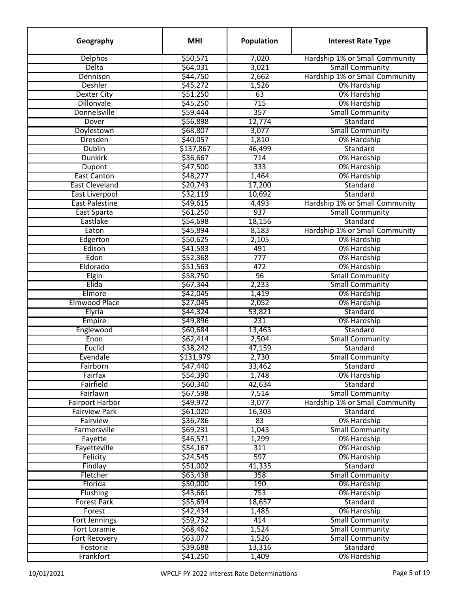| Geography              | <b>MHI</b>           | Population       | <b>Interest Rate Type</b>      |
|------------------------|----------------------|------------------|--------------------------------|
| <b>Delphos</b>         | \$50,571             | 7,020            | Hardship 1% or Small Community |
| Delta                  | \$64,031             | 3,021            | <b>Small Community</b>         |
| Dennison               | \$44,750             | 2,662            | Hardship 1% or Small Community |
| <b>Deshler</b>         | \$45,272             | 1,526            | 0% Hardship                    |
| <b>Dexter City</b>     | \$51,250             | 63               | 0% Hardship                    |
| <b>Dillonvale</b>      | \$45,250             | 715              | 0% Hardship                    |
| Donnelsville           | \$59,444             | 357              | <b>Small Community</b>         |
| Dover                  | \$56,898             | 12,774           | Standard                       |
| Doylestown             | \$68,807             | 3,077            | <b>Small Community</b>         |
| <b>Dresden</b>         | \$40,057             | 1,810            | 0% Hardship                    |
| <b>Dublin</b>          | \$137,867            | 46,499           | Standard                       |
| <b>Dunkirk</b>         | \$36,667             | 714              | 0% Hardship                    |
| Dupont                 | \$47,500             | 333              | 0% Hardship                    |
| <b>East Canton</b>     | \$48,277             | 1,464            | 0% Hardship                    |
| <b>East Cleveland</b>  | \$20,743             | 17,200           | Standard                       |
| <b>East Liverpool</b>  | \$32,119             | 10,692           | Standard                       |
| <b>East Palestine</b>  | \$49,615             | 4,493            | Hardship 1% or Small Community |
| East Sparta            | \$61,250             | 937              | <b>Small Community</b>         |
| Eastlake               | \$54,698             | 18,156           | Standard                       |
| Eaton                  | \$45,894             | 8,183            | Hardship 1% or Small Community |
| Edgerton               | \$50,625             | 2,105            | 0% Hardship                    |
| Edison                 | \$41,583             | 491              | 0% Hardship                    |
| Edon                   | \$52,368             | $\overline{777}$ | 0% Hardship                    |
| Eldorado               | \$51,563             | 472              | 0% Hardship                    |
| Elgin                  | \$58,750             | 96               | <b>Small Community</b>         |
| Elida                  | \$67,344             | 2,233            | <b>Small Community</b>         |
| Elmore                 | \$42,045             | 1,419            | 0% Hardship                    |
| <b>Elmwood Place</b>   | \$27,045             | 2,052            | 0% Hardship                    |
| Elyria                 | \$44,324             | 53,821           | Standard                       |
| Empire                 | \$49,896             | 231              | 0% Hardship                    |
| Englewood              | \$60,684             | 13,463           | Standard                       |
| Enon                   |                      | 2,504            | <b>Small Community</b>         |
| Euclid                 | \$62,414<br>\$38,242 |                  | Standard                       |
| Evendale               | \$131,979            | 47,159<br>2,730  |                                |
|                        |                      |                  | <b>Small Community</b>         |
| Fairborn<br>Fairfax    | \$47,440             | 33,462           | Standard                       |
|                        | \$54,390             | 1,748            | 0% Hardship                    |
| Fairfield              | \$60,340             | 42,634           | Standard                       |
| Fairlawn               | \$67,598             | 7,514            | <b>Small Community</b>         |
| <b>Fairport Harbor</b> | \$49,972             | 3,077            | Hardship 1% or Small Community |
| <b>Fairview Park</b>   | \$61,020             | 16,303           | Standard                       |
| Fairview               | \$36,786             | 83               | 0% Hardship                    |
| Farmersville           | \$69,231             | 1,043            | <b>Small Community</b>         |
| Fayette                | \$46,571             | 1,299            | 0% Hardship                    |
| Fayetteville           | \$54,167             | 311              | 0% Hardship                    |
| Felicity               | \$24,545             | 597              | 0% Hardship                    |
| Findlay                | \$51,002             | 41,335           | Standard                       |
| Fletcher               | \$63,438             | 358              | <b>Small Community</b>         |
| Florida                | \$50,000             | 190              | 0% Hardship                    |
| Flushing               | \$43,661             | 753              | 0% Hardship                    |
| <b>Forest Park</b>     | \$55,694             | 18,657           | Standard                       |
| Forest                 | \$42,434             | 1,485            | 0% Hardship                    |
| Fort Jennings          | \$59,732             | 414              | <b>Small Community</b>         |
| <b>Fort Loramie</b>    | \$68,462             | 1,524            | <b>Small Community</b>         |
| <b>Fort Recovery</b>   | \$63,077             | 1,526            | <b>Small Community</b>         |
| Fostoria               | \$39,688             | 13,316           | Standard                       |
| Frankfort              | \$41,250             | 1,409            | 0% Hardship                    |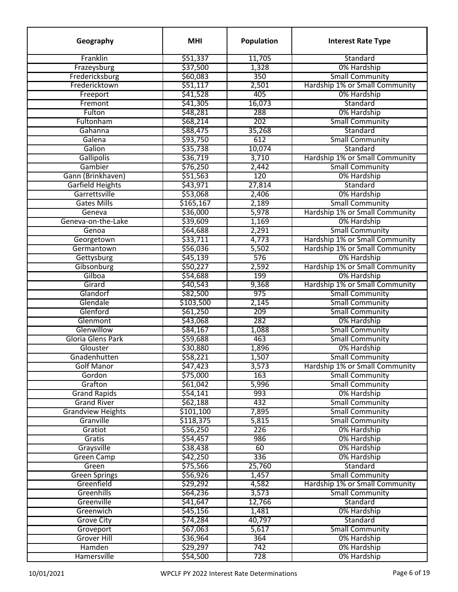| Geography                | <b>MHI</b> | <b>Population</b> | <b>Interest Rate Type</b>      |
|--------------------------|------------|-------------------|--------------------------------|
| Franklin                 | \$51,337   | 11,705            | Standard                       |
| Frazeysburg              | \$37,500   | 1,328             | 0% Hardship                    |
| Fredericksburg           | \$60,083   | 350               | <b>Small Community</b>         |
| Fredericktown            | \$51,117   | 2,501             | Hardship 1% or Small Community |
| Freeport                 | \$41,528   | 405               | 0% Hardship                    |
| Fremont                  | \$41,305   | 16,073            | Standard                       |
| Fulton                   | \$48,281   | 288               | 0% Hardship                    |
| Fultonham                | \$68,214   | 202               | <b>Small Community</b>         |
| Gahanna                  | \$88,475   | 35,268            | Standard                       |
| Galena                   | \$93,750   | 612               | <b>Small Community</b>         |
| Galion                   | \$35,738   | 10,074            | Standard                       |
| <b>Gallipolis</b>        | \$36,719   | 3,710             | Hardship 1% or Small Community |
| Gambier                  | \$76,250   | 2,442             | <b>Small Community</b>         |
| Gann (Brinkhaven)        | \$51,563   | 120               | 0% Hardship                    |
| <b>Garfield Heights</b>  | \$43,971   | 27,814            | Standard                       |
| Garrettsville            | \$53,068   | 2,406             | 0% Hardship                    |
| <b>Gates Mills</b>       | \$165,167  | 2,189             | <b>Small Community</b>         |
| Geneva                   | \$36,000   | 5,978             | Hardship 1% or Small Community |
| Geneva-on-the-Lake       | \$39,609   | 1,169             | 0% Hardship                    |
| Genoa                    | \$64,688   | 2,291             | <b>Small Community</b>         |
| Georgetown               | \$33,711   | 4,773             | Hardship 1% or Small Community |
| Germantown               | \$56,036   | 5,502             | Hardship 1% or Small Community |
| Gettysburg               | \$45,139   | 576               | 0% Hardship                    |
| Gibsonburg               | \$50,227   | 2,592             | Hardship 1% or Small Community |
| Gilboa                   | \$54,688   | 199               | 0% Hardship                    |
| Girard                   | \$40,543   |                   | Hardship 1% or Small Community |
| Glandorf                 | \$82,500   | 9,368<br>975      | <b>Small Community</b>         |
| Glendale                 | \$103,500  |                   | <b>Small Community</b>         |
| Glenford                 |            | 2,145             | <b>Small Community</b>         |
| Glenmont                 | \$61,250   | 209<br>282        |                                |
| Glenwillow               | \$43,068   |                   | 0% Hardship                    |
| Gloria Glens Park        | \$84,167   | 1,088             | <b>Small Community</b>         |
|                          | \$59,688   | 463               | <b>Small Community</b>         |
| Glouster                 | \$30,880   | 1,896             | 0% Hardship                    |
| Gnadenhutten             | \$58,221   | 1,507             | <b>Small Community</b>         |
| <b>Golf Manor</b>        | 547,423    | 3,573             | Hardship 1% or Small Community |
| Gordon                   | \$75,000   | 163               | <b>Small Community</b>         |
| Grafton                  | \$61,042   | 5,996             | <b>Small Community</b>         |
| <b>Grand Rapids</b>      | \$54,141   | 993               | 0% Hardship                    |
| <b>Grand River</b>       | \$62,188   | 432               | <b>Small Community</b>         |
| <b>Grandview Heights</b> | \$101,100  | 7,895             | <b>Small Community</b>         |
| Granville                | \$118,375  | 5,815             | <b>Small Community</b>         |
| Gratiot                  | \$56,250   | 226               | 0% Hardship                    |
| Gratis                   | \$54,457   | 986               | 0% Hardship                    |
| Graysville               | \$38,438   | 60                | 0% Hardship                    |
| <b>Green Camp</b>        | \$42,250   | 336               | 0% Hardship                    |
| Green                    | \$75,566   | 25,760            | Standard                       |
| <b>Green Springs</b>     | \$56,926   | 1,457             | <b>Small Community</b>         |
| Greenfield               | \$29,292   | 4,582             | Hardship 1% or Small Community |
| Greenhills               | \$64,236   | 3,573             | <b>Small Community</b>         |
| Greenville               | \$41,647   | 12,766            | Standard                       |
| Greenwich                | \$45,156   | 1,481             | 0% Hardship                    |
| <b>Grove City</b>        | \$74,284   | 40,797            | Standard                       |
| Groveport                | \$67,063   | 5,617             | <b>Small Community</b>         |
| <b>Grover Hill</b>       | \$36,964   | 364               | 0% Hardship                    |
| Hamden                   | \$29,297   | 742               | 0% Hardship                    |
| Hamersville              | \$54,500   | 728               | 0% Hardship                    |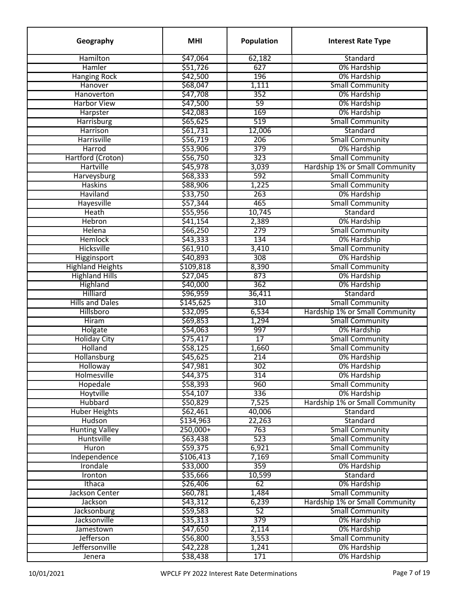| Geography               | <b>MHI</b> | Population      | <b>Interest Rate Type</b>      |
|-------------------------|------------|-----------------|--------------------------------|
| Hamilton                | \$47,064   | 62,182          | Standard                       |
| Hamler                  | \$51,726   | 627             | 0% Hardship                    |
| <b>Hanging Rock</b>     | \$42,500   | 196             | 0% Hardship                    |
| Hanover                 | \$68,047   | 1,111           | <b>Small Community</b>         |
| Hanoverton              | \$47,708   | 352             | 0% Hardship                    |
| <b>Harbor View</b>      | \$47,500   | 59              | 0% Hardship                    |
| Harpster                | \$42,083   | 169             | 0% Hardship                    |
| Harrisburg              | \$65,625   | 519             | <b>Small Community</b>         |
| <b>Harrison</b>         | \$61,731   | 12,006          | Standard                       |
| Harrisville             | \$56,719   | 206             | <b>Small Community</b>         |
| Harrod                  | \$53,906   | 379             | 0% Hardship                    |
| Hartford (Croton)       | \$56,750   | 323             | <b>Small Community</b>         |
| Hartville               | \$45,978   | 3,039           | Hardship 1% or Small Community |
| Harveysburg             | \$68,333   | 592             | <b>Small Community</b>         |
| <b>Haskins</b>          | \$88,906   | 1,225           | <b>Small Community</b>         |
| <b>Haviland</b>         | \$33,750   | 263             | 0% Hardship                    |
| Hayesville              | \$57,344   | 465             | <b>Small Community</b>         |
| <b>Heath</b>            | \$55,956   | 10,745          | Standard                       |
| Hebron                  | \$41,154   | 2,389           | 0% Hardship                    |
| Helena                  | \$66,250   | 279             | <b>Small Community</b>         |
| <b>Hemlock</b>          | \$43,333   | 134             | 0% Hardship                    |
| Hicksville              | \$61,910   | 3,410           | <b>Small Community</b>         |
| Higginsport             | \$40,893   | 308             | 0% Hardship                    |
| <b>Highland Heights</b> | \$109,818  | 8,390           | <b>Small Community</b>         |
| <b>Highland Hills</b>   | \$27,045   | 873             | 0% Hardship                    |
| Highland                | \$40,000   | 362             | 0% Hardship                    |
| Hilliard                | \$96,959   | 36,411          | Standard                       |
| <b>Hills and Dales</b>  | \$145,625  | 310             | <b>Small Community</b>         |
| Hillsboro               | \$32,095   | 6,534           | Hardship 1% or Small Community |
| <b>Hiram</b>            | \$69,853   | 1,294           | <b>Small Community</b>         |
| Holgate                 | \$54,063   | 997             | 0% Hardship                    |
| <b>Holiday City</b>     | \$75,417   | $\overline{17}$ | <b>Small Community</b>         |
| Holland                 | \$58,125   | 1,660           | <b>Small Community</b>         |
| Hollansburg             | \$45,625   | 214             | 0% Hardship                    |
| Holloway                | \$47,981   | 302             | 0% Hardship                    |
| Holmesville             | \$44,375   | 314             | 0% Hardship                    |
| Hopedale                | \$58,393   | 960             | <b>Small Community</b>         |
| Hoytville               | \$54,107   | 336             | 0% Hardship                    |
| <b>Hubbard</b>          | \$50,829   | 7,525           | Hardship 1% or Small Community |
| <b>Huber Heights</b>    | \$62,461   | 40,006          | Standard                       |
| Hudson                  | \$134,963  | 22,263          | Standard                       |
| <b>Hunting Valley</b>   | $250,000+$ | 763             | <b>Small Community</b>         |
| Huntsville              | \$63,438   | 523             | <b>Small Community</b>         |
| <b>Huron</b>            | \$59,375   | 6,921           | <b>Small Community</b>         |
| Independence            | \$106,413  | 7,169           | <b>Small Community</b>         |
| Irondale                | \$33,000   | 359             | 0% Hardship                    |
| Ironton                 | \$35,666   | 10,599          | Standard                       |
| Ithaca                  |            | 62              | 0% Hardship                    |
| Jackson Center          | \$26,406   |                 | <b>Small Community</b>         |
| Jackson                 | \$60,781   | 1,484           | Hardship 1% or Small Community |
|                         | \$43,312   | 6,239           |                                |
| Jacksonburg             | \$59,583   | 52              | <b>Small Community</b>         |
| Jacksonville            | \$35,313   | 379             | 0% Hardship                    |
| Jamestown               | \$47,650   | 2,114           | 0% Hardship                    |
| Jefferson               | \$56,800   | 3,553           | <b>Small Community</b>         |
| Jeffersonville          | \$42,228   | 1,241           | 0% Hardship                    |
| Jenera                  | \$38,438   | 171             | 0% Hardship                    |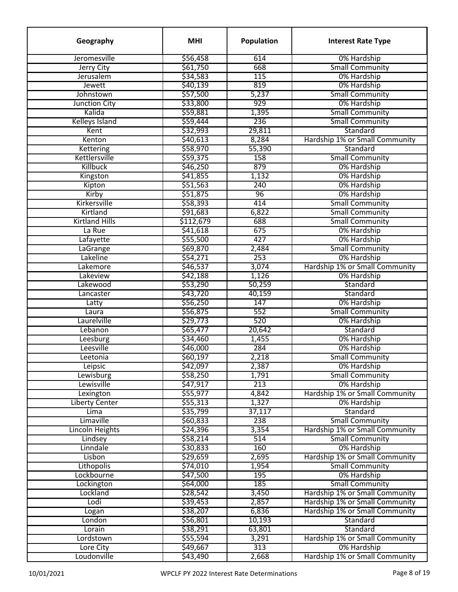| Geography             | <b>MHI</b> | Population | <b>Interest Rate Type</b>             |
|-----------------------|------------|------------|---------------------------------------|
| Jeromesville          | \$56,458   | 614        | 0% Hardship                           |
| Jerry City            | \$61,750   | 668        | <b>Small Community</b>                |
| Jerusalem             | \$34,583   | 115        | 0% Hardship                           |
| Jewett                | \$40,139   | 819        | 0% Hardship                           |
| Johnstown             | \$57,500   | 5,237      | <b>Small Community</b>                |
| Junction City         | \$33,800   | 929        | 0% Hardship                           |
| Kalida                | \$59,881   | 1,395      | <b>Small Community</b>                |
| <b>Kelleys Island</b> | \$59,444   | 236        | <b>Small Community</b>                |
| Kent                  | \$32,993   | 29,811     | Standard                              |
| Kenton                | \$40,613   | 8,284      | Hardship 1% or Small Community        |
| Kettering             | \$58,970   | 55,390     | Standard                              |
| Kettlersville         | \$59,375   | 158        | <b>Small Community</b>                |
| Killbuck              | \$46,250   | 879        | 0% Hardship                           |
| Kingston              | \$41,855   | 1,132      | 0% Hardship                           |
| Kipton                | \$51,563   | 240        | 0% Hardship                           |
| Kirby                 | \$51,875   | 96         | 0% Hardship                           |
| Kirkersville          | \$58,393   | 414        | <b>Small Community</b>                |
| Kirtland              | \$91,683   | 6,822      | <b>Small Community</b>                |
| <b>Kirtland Hills</b> | \$112,679  | 688        | <b>Small Community</b>                |
| La Rue                | \$41,618   | 675        | 0% Hardship                           |
| Lafayette             | \$55,500   | 427        | 0% Hardship                           |
| LaGrange              | \$69,870   | 2,484      | <b>Small Community</b>                |
| Lakeline              | \$54,271   | 253        | 0% Hardship                           |
| Lakemore              | \$46,537   | 3,074      | Hardship 1% or Small Community        |
| Lakeview              | \$42,188   | 1,126      | 0% Hardship                           |
| Lakewood              | \$53,290   | 50,259     | Standard                              |
| Lancaster             | \$43,720   | 40,159     | Standard                              |
|                       | \$56,250   | 147        | 0% Hardship                           |
| Latty<br>Laura        | \$56,875   | 552        | <b>Small Community</b>                |
| Laurelville           | \$29,773   | 520        | 0% Hardship                           |
| Lebanon               | \$65,477   | 20,642     | Standard                              |
|                       | \$34,460   | 1,455      | 0% Hardship                           |
| Leesburg<br>Leesville | \$46,000   | 284        | 0% Hardship                           |
|                       |            |            |                                       |
| Leetonia              | \$60,197   | 2,218      | <b>Small Community</b>                |
| Leipsic               | \$42,097   | 2,387      | 0% Hardship                           |
| Lewisburg             | \$58,250   | 1,791      | <b>Small Community</b>                |
| Lewisville            | \$47,917   | 213        | 0% Hardship                           |
| Lexington             | \$55,977   | 4,842      | Hardship 1% or Small Community        |
| <b>Liberty Center</b> | \$55,313   | 1,327      | 0% Hardship                           |
| Lima                  | \$35,799   | 37,117     | Standard                              |
| Limaville             | \$60,833   | 238        | <b>Small Community</b>                |
| Lincoln Heights       | \$24,396   | 3,354      | Hardship 1% or Small Community        |
| Lindsey               | \$58,214   | 514        | <b>Small Community</b>                |
| Linndale              | \$30,833   | 160        | 0% Hardship                           |
| Lisbon                | \$29,659   | 2,695      | Hardship 1% or Small Community        |
| Lithopolis            | \$74,010   | 1,954      | <b>Small Community</b>                |
| Lockbourne            | \$47,500   | 195        | 0% Hardship                           |
| Lockington            | \$64,000   | 185        | <b>Small Community</b>                |
| Lockland              | \$28,542   | 3,450      | <b>Hardship 1% or Small Community</b> |
| Lodi                  | \$39,453   | 2,857      | Hardship 1% or Small Community        |
| Logan                 | \$38,207   | 6,836      | Hardship 1% or Small Community        |
| London                | \$56,801   | 10,193     | Standard                              |
| Lorain                | \$38,291   | 63,801     | Standard                              |
| Lordstown             | \$55,594   | 3,291      | Hardship 1% or Small Community        |
| Lore City             | \$49,667   | 313        | 0% Hardship                           |
| Loudonville           | \$43,490   | 2,668      | Hardship 1% or Small Community        |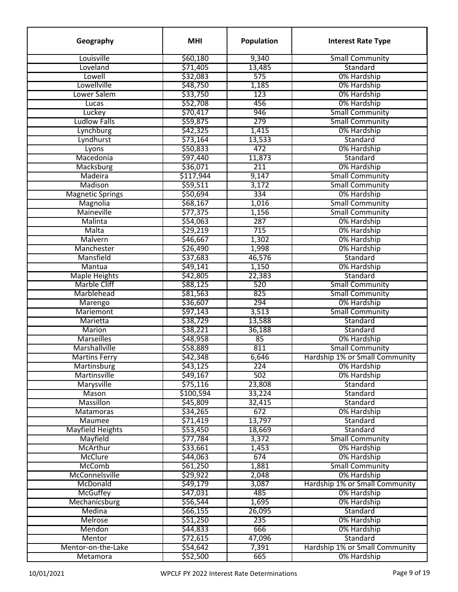| Geography               | <b>MHI</b> | Population | <b>Interest Rate Type</b>      |
|-------------------------|------------|------------|--------------------------------|
| Louisville              | \$60,180   | 9,340      | <b>Small Community</b>         |
| Loveland                | \$71,405   | 13,485     | Standard                       |
| Lowell                  | \$32,083   | 575        | 0% Hardship                    |
| Lowellville             | \$48,750   | 1,185      | 0% Hardship                    |
| Lower Salem             | \$33,750   | 123        | 0% Hardship                    |
| Lucas                   | \$52,708   | 456        | 0% Hardship                    |
| Luckey                  | \$70,417   | 946        | <b>Small Community</b>         |
| <b>Ludlow Falls</b>     | \$59,875   | 279        | <b>Small Community</b>         |
| Lynchburg               | \$42,325   | 1,415      | 0% Hardship                    |
| Lyndhurst               | \$73,164   | 13,533     | Standard                       |
| Lyons                   | \$50,833   | 472        | 0% Hardship                    |
| Macedonia               | \$97,440   | 11,873     | Standard                       |
| Macksburg               | \$36,071   | 211        | 0% Hardship                    |
| Madeira                 | \$117,944  | 9,147      | <b>Small Community</b>         |
| Madison                 | \$59,511   | 3,172      | <b>Small Community</b>         |
| <b>Magnetic Springs</b> | \$50,694   | 334        | 0% Hardship                    |
| Magnolia                | \$68,167   | 1,016      | <b>Small Community</b>         |
| Maineville              | \$77,375   | 1,156      | <b>Small Community</b>         |
| Malinta                 | \$54,063   | 287        | 0% Hardship                    |
| Malta                   | \$29,219   | 715        | 0% Hardship                    |
| Malvern                 | \$46,667   | 1,302      | 0% Hardship                    |
| Manchester              | \$26,490   | 1,998      | 0% Hardship                    |
| Mansfield               | \$37,683   | 46,576     | Standard                       |
| Mantua                  | \$49,141   | 1,150      | 0% Hardship                    |
| <b>Maple Heights</b>    | \$42,805   | 22,383     | Standard                       |
| <b>Marble Cliff</b>     | \$88,125   | 520        | <b>Small Community</b>         |
| Marblehead              | \$81,563   | 825        | <b>Small Community</b>         |
|                         | \$36,607   | 294        | 0% Hardship                    |
| Marengo<br>Mariemont    | \$97,143   | 3,513      | <b>Small Community</b>         |
| Marietta                | \$38,729   | 13,588     | Standard                       |
| Marion                  | \$38,221   | 36,188     | Standard                       |
| <b>Marseilles</b>       | \$48,958   | 85         | 0% Hardship                    |
| Marshallville           | \$58,889   | 811        | <b>Small Community</b>         |
| <b>Martins Ferry</b>    | \$42,348   | 6,646      | Hardship 1% or Small Community |
|                         |            |            |                                |
| Martinsburg             | \$43,125   | 224<br>502 | 0% Hardship                    |
| Martinsville            | \$49,167   |            | 0% Hardship                    |
| Marysville              | \$75,116   | 23,808     | Standard                       |
| Mason                   | \$100,594  | 33,224     | Standard                       |
| Massillon               | \$45,809   | 32,415     | Standard                       |
| Matamoras               | \$34,265   | 672        | 0% Hardship                    |
| <b>Maumee</b>           | \$71,419   | 13,797     | Standard                       |
| <b>Mayfield Heights</b> | \$53,450   | 18,669     | Standard                       |
| Mayfield                | \$77,784   | 3,372      | <b>Small Community</b>         |
| McArthur                | \$33,661   | 1,453      | 0% Hardship                    |
| <b>McClure</b>          | \$44,063   | 674        | 0% Hardship                    |
| <b>McComb</b>           | \$61,250   | 1,881      | <b>Small Community</b>         |
| McConnelsville          | \$29,922   | 2,048      | 0% Hardship                    |
| McDonald                | \$49,179   | 3,087      | Hardship 1% or Small Community |
| <b>McGuffey</b>         | \$47,031   | 485        | 0% Hardship                    |
| Mechanicsburg           | \$56,544   | 1,695      | 0% Hardship                    |
| Medina                  | \$66,155   | 26,095     | Standard                       |
| <b>Melrose</b>          | \$51,250   | 235        | 0% Hardship                    |
| Mendon                  | \$44,833   | 666        | 0% Hardship                    |
| Mentor                  | \$72,615   | 47,096     | Standard                       |
| Mentor-on-the-Lake      | \$54,642   | 7,391      | Hardship 1% or Small Community |
| Metamora                | \$52,500   | 665        | 0% Hardship                    |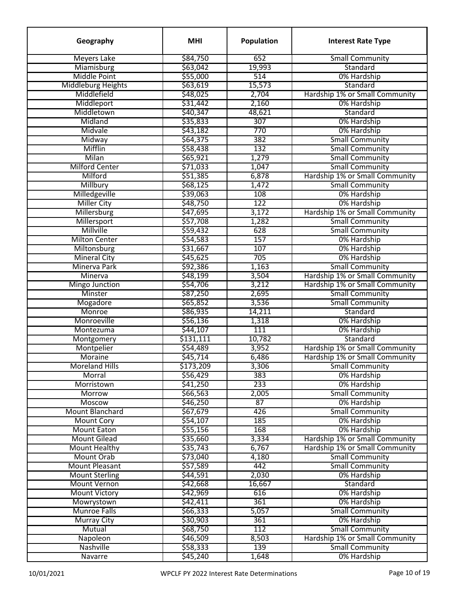| \$84,750<br><b>Meyers Lake</b><br>652<br><b>Small Community</b><br>\$63,042<br>Miamisburg<br>19,993<br>Standard<br><b>Middle Point</b><br>\$55,000<br>514<br>0% Hardship<br>Middleburg Heights<br>\$63,619<br>15,573<br>Standard<br>Middlefield<br>\$48,025<br>2,704<br>Hardship 1% or Small Community<br>\$31,442<br>2,160<br>Middleport<br>0% Hardship<br>\$40,347<br>48,621<br>Middletown<br>Standard<br>Midland<br>\$35,833<br>307<br>0% Hardship<br>Midvale<br>770<br>0% Hardship<br>\$43,182<br>\$64,375<br>382<br><b>Small Community</b><br>Midway<br>Mifflin<br>132<br><b>Small Community</b><br>\$58,438<br>Milan<br>\$65,921<br>1,279<br><b>Small Community</b><br>\$71,033<br><b>Small Community</b><br><b>Milford Center</b><br>1,047<br>Milford<br>\$51,385<br>6,878<br>Hardship 1% or Small Community<br><b>Small Community</b><br>Millbury<br>\$68,125<br>1,472<br>Milledgeville<br>108<br>0% Hardship<br>\$39,063<br>122<br><b>Miller City</b><br>\$48,750<br>0% Hardship<br>Millersburg<br>\$47,695<br>Hardship 1% or Small Community<br>3,172<br>\$57,708<br>Millersport<br>1,282<br><b>Small Community</b><br>\$59,432<br>Millville<br>628<br><b>Small Community</b><br>157<br><b>Milton Center</b><br>\$54,583<br>0% Hardship<br>\$31,667<br>0% Hardship<br>Miltonsburg<br>107<br><b>Mineral City</b><br>\$45,625<br>705<br>0% Hardship<br>\$92,386<br>Minerva Park<br>1,163<br><b>Small Community</b><br>\$48,199<br>3,504<br>Hardship 1% or Small Community<br><b>Minerva</b><br>\$54,706<br>3,212<br>Hardship 1% or Small Community<br><b>Mingo Junction</b><br>\$87,250<br><b>Small Community</b><br>Minster<br>2,695<br><b>Small Community</b><br>Mogadore<br>\$65,852<br>3,536<br>Monroe<br>\$86,935<br>14,211<br>Standard<br>Monroeville<br>\$56,136<br>1,318<br>0% Hardship<br>\$44,107<br>111<br>0% Hardship<br>Montezuma<br>\$131,111<br>Standard<br>10,782<br>Montgomery<br>3,952<br>Hardship 1% or Small Community<br>Montpelier<br>\$54,489<br>\$45,714<br>6,486<br>Hardship 1% or Small Community<br>Moraine<br><b>Moreland Hills</b><br>\$173,209<br><b>Small Community</b><br>3,306<br>Morral<br>\$56,429<br>383<br>0% Hardship<br>233<br>Morristown<br>\$41,250<br>0% Hardship<br>2,005<br>\$66,563<br><b>Small Community</b><br><b>Morrow</b><br>0% Hardship<br>\$46,250<br>87<br>Moscow<br>426<br><b>Mount Blanchard</b><br>\$67,679<br><b>Small Community</b><br><b>Mount Cory</b><br>\$54,107<br>185<br>0% Hardship<br>168<br><b>Mount Eaton</b><br>\$55,156<br>0% Hardship<br>Hardship 1% or Small Community<br><b>Mount Gilead</b><br>\$35,660<br>3,334<br>\$35,743<br>6,767<br>Hardship 1% or Small Community<br><b>Mount Healthy</b><br>Mount Orab<br>\$73,040<br>4,180<br><b>Small Community</b><br><b>Mount Pleasant</b><br>\$57,589<br>442<br><b>Small Community</b><br><b>Mount Sterling</b><br>2,030<br>\$44,591<br>0% Hardship<br><b>Mount Vernon</b><br>\$42,668<br>16,667<br>Standard<br>0% Hardship<br><b>Mount Victory</b><br>\$42,969<br>616<br>361<br>\$42,411<br>0% Hardship<br>Mowrystown<br><b>Munroe Falls</b><br>\$66,333<br>5,057<br><b>Small Community</b><br>\$30,903<br>361<br>0% Hardship<br>Murray City<br>112<br>Mutual<br>\$68,750<br><b>Small Community</b><br>Hardship 1% or Small Community<br>\$46,509<br>8,503<br>Napoleon<br>Nashville<br>139<br><b>Small Community</b><br>\$58,333<br>Navarre<br>\$45,240<br>1,648<br>0% Hardship | Geography | <b>MHI</b> | <b>Population</b> | <b>Interest Rate Type</b> |
|----------------------------------------------------------------------------------------------------------------------------------------------------------------------------------------------------------------------------------------------------------------------------------------------------------------------------------------------------------------------------------------------------------------------------------------------------------------------------------------------------------------------------------------------------------------------------------------------------------------------------------------------------------------------------------------------------------------------------------------------------------------------------------------------------------------------------------------------------------------------------------------------------------------------------------------------------------------------------------------------------------------------------------------------------------------------------------------------------------------------------------------------------------------------------------------------------------------------------------------------------------------------------------------------------------------------------------------------------------------------------------------------------------------------------------------------------------------------------------------------------------------------------------------------------------------------------------------------------------------------------------------------------------------------------------------------------------------------------------------------------------------------------------------------------------------------------------------------------------------------------------------------------------------------------------------------------------------------------------------------------------------------------------------------------------------------------------------------------------------------------------------------------------------------------------------------------------------------------------------------------------------------------------------------------------------------------------------------------------------------------------------------------------------------------------------------------------------------------------------------------------------------------------------------------------------------------------------------------------------------------------------------------------------------------------------------------------------------------------------------------------------------------------------------------------------------------------------------------------------------------------------------------------------------------------------------------------------------------------------------------------------------------------------------------------------------------------------------------------------------------------------------------------------------------------------------------------------------------------------------------------------------------------------------------------------------------------------------------------------------------------------------------------------|-----------|------------|-------------------|---------------------------|
|                                                                                                                                                                                                                                                                                                                                                                                                                                                                                                                                                                                                                                                                                                                                                                                                                                                                                                                                                                                                                                                                                                                                                                                                                                                                                                                                                                                                                                                                                                                                                                                                                                                                                                                                                                                                                                                                                                                                                                                                                                                                                                                                                                                                                                                                                                                                                                                                                                                                                                                                                                                                                                                                                                                                                                                                                                                                                                                                                                                                                                                                                                                                                                                                                                                                                                                                                                                                                |           |            |                   |                           |
|                                                                                                                                                                                                                                                                                                                                                                                                                                                                                                                                                                                                                                                                                                                                                                                                                                                                                                                                                                                                                                                                                                                                                                                                                                                                                                                                                                                                                                                                                                                                                                                                                                                                                                                                                                                                                                                                                                                                                                                                                                                                                                                                                                                                                                                                                                                                                                                                                                                                                                                                                                                                                                                                                                                                                                                                                                                                                                                                                                                                                                                                                                                                                                                                                                                                                                                                                                                                                |           |            |                   |                           |
|                                                                                                                                                                                                                                                                                                                                                                                                                                                                                                                                                                                                                                                                                                                                                                                                                                                                                                                                                                                                                                                                                                                                                                                                                                                                                                                                                                                                                                                                                                                                                                                                                                                                                                                                                                                                                                                                                                                                                                                                                                                                                                                                                                                                                                                                                                                                                                                                                                                                                                                                                                                                                                                                                                                                                                                                                                                                                                                                                                                                                                                                                                                                                                                                                                                                                                                                                                                                                |           |            |                   |                           |
|                                                                                                                                                                                                                                                                                                                                                                                                                                                                                                                                                                                                                                                                                                                                                                                                                                                                                                                                                                                                                                                                                                                                                                                                                                                                                                                                                                                                                                                                                                                                                                                                                                                                                                                                                                                                                                                                                                                                                                                                                                                                                                                                                                                                                                                                                                                                                                                                                                                                                                                                                                                                                                                                                                                                                                                                                                                                                                                                                                                                                                                                                                                                                                                                                                                                                                                                                                                                                |           |            |                   |                           |
|                                                                                                                                                                                                                                                                                                                                                                                                                                                                                                                                                                                                                                                                                                                                                                                                                                                                                                                                                                                                                                                                                                                                                                                                                                                                                                                                                                                                                                                                                                                                                                                                                                                                                                                                                                                                                                                                                                                                                                                                                                                                                                                                                                                                                                                                                                                                                                                                                                                                                                                                                                                                                                                                                                                                                                                                                                                                                                                                                                                                                                                                                                                                                                                                                                                                                                                                                                                                                |           |            |                   |                           |
|                                                                                                                                                                                                                                                                                                                                                                                                                                                                                                                                                                                                                                                                                                                                                                                                                                                                                                                                                                                                                                                                                                                                                                                                                                                                                                                                                                                                                                                                                                                                                                                                                                                                                                                                                                                                                                                                                                                                                                                                                                                                                                                                                                                                                                                                                                                                                                                                                                                                                                                                                                                                                                                                                                                                                                                                                                                                                                                                                                                                                                                                                                                                                                                                                                                                                                                                                                                                                |           |            |                   |                           |
|                                                                                                                                                                                                                                                                                                                                                                                                                                                                                                                                                                                                                                                                                                                                                                                                                                                                                                                                                                                                                                                                                                                                                                                                                                                                                                                                                                                                                                                                                                                                                                                                                                                                                                                                                                                                                                                                                                                                                                                                                                                                                                                                                                                                                                                                                                                                                                                                                                                                                                                                                                                                                                                                                                                                                                                                                                                                                                                                                                                                                                                                                                                                                                                                                                                                                                                                                                                                                |           |            |                   |                           |
|                                                                                                                                                                                                                                                                                                                                                                                                                                                                                                                                                                                                                                                                                                                                                                                                                                                                                                                                                                                                                                                                                                                                                                                                                                                                                                                                                                                                                                                                                                                                                                                                                                                                                                                                                                                                                                                                                                                                                                                                                                                                                                                                                                                                                                                                                                                                                                                                                                                                                                                                                                                                                                                                                                                                                                                                                                                                                                                                                                                                                                                                                                                                                                                                                                                                                                                                                                                                                |           |            |                   |                           |
|                                                                                                                                                                                                                                                                                                                                                                                                                                                                                                                                                                                                                                                                                                                                                                                                                                                                                                                                                                                                                                                                                                                                                                                                                                                                                                                                                                                                                                                                                                                                                                                                                                                                                                                                                                                                                                                                                                                                                                                                                                                                                                                                                                                                                                                                                                                                                                                                                                                                                                                                                                                                                                                                                                                                                                                                                                                                                                                                                                                                                                                                                                                                                                                                                                                                                                                                                                                                                |           |            |                   |                           |
|                                                                                                                                                                                                                                                                                                                                                                                                                                                                                                                                                                                                                                                                                                                                                                                                                                                                                                                                                                                                                                                                                                                                                                                                                                                                                                                                                                                                                                                                                                                                                                                                                                                                                                                                                                                                                                                                                                                                                                                                                                                                                                                                                                                                                                                                                                                                                                                                                                                                                                                                                                                                                                                                                                                                                                                                                                                                                                                                                                                                                                                                                                                                                                                                                                                                                                                                                                                                                |           |            |                   |                           |
|                                                                                                                                                                                                                                                                                                                                                                                                                                                                                                                                                                                                                                                                                                                                                                                                                                                                                                                                                                                                                                                                                                                                                                                                                                                                                                                                                                                                                                                                                                                                                                                                                                                                                                                                                                                                                                                                                                                                                                                                                                                                                                                                                                                                                                                                                                                                                                                                                                                                                                                                                                                                                                                                                                                                                                                                                                                                                                                                                                                                                                                                                                                                                                                                                                                                                                                                                                                                                |           |            |                   |                           |
|                                                                                                                                                                                                                                                                                                                                                                                                                                                                                                                                                                                                                                                                                                                                                                                                                                                                                                                                                                                                                                                                                                                                                                                                                                                                                                                                                                                                                                                                                                                                                                                                                                                                                                                                                                                                                                                                                                                                                                                                                                                                                                                                                                                                                                                                                                                                                                                                                                                                                                                                                                                                                                                                                                                                                                                                                                                                                                                                                                                                                                                                                                                                                                                                                                                                                                                                                                                                                |           |            |                   |                           |
|                                                                                                                                                                                                                                                                                                                                                                                                                                                                                                                                                                                                                                                                                                                                                                                                                                                                                                                                                                                                                                                                                                                                                                                                                                                                                                                                                                                                                                                                                                                                                                                                                                                                                                                                                                                                                                                                                                                                                                                                                                                                                                                                                                                                                                                                                                                                                                                                                                                                                                                                                                                                                                                                                                                                                                                                                                                                                                                                                                                                                                                                                                                                                                                                                                                                                                                                                                                                                |           |            |                   |                           |
|                                                                                                                                                                                                                                                                                                                                                                                                                                                                                                                                                                                                                                                                                                                                                                                                                                                                                                                                                                                                                                                                                                                                                                                                                                                                                                                                                                                                                                                                                                                                                                                                                                                                                                                                                                                                                                                                                                                                                                                                                                                                                                                                                                                                                                                                                                                                                                                                                                                                                                                                                                                                                                                                                                                                                                                                                                                                                                                                                                                                                                                                                                                                                                                                                                                                                                                                                                                                                |           |            |                   |                           |
|                                                                                                                                                                                                                                                                                                                                                                                                                                                                                                                                                                                                                                                                                                                                                                                                                                                                                                                                                                                                                                                                                                                                                                                                                                                                                                                                                                                                                                                                                                                                                                                                                                                                                                                                                                                                                                                                                                                                                                                                                                                                                                                                                                                                                                                                                                                                                                                                                                                                                                                                                                                                                                                                                                                                                                                                                                                                                                                                                                                                                                                                                                                                                                                                                                                                                                                                                                                                                |           |            |                   |                           |
|                                                                                                                                                                                                                                                                                                                                                                                                                                                                                                                                                                                                                                                                                                                                                                                                                                                                                                                                                                                                                                                                                                                                                                                                                                                                                                                                                                                                                                                                                                                                                                                                                                                                                                                                                                                                                                                                                                                                                                                                                                                                                                                                                                                                                                                                                                                                                                                                                                                                                                                                                                                                                                                                                                                                                                                                                                                                                                                                                                                                                                                                                                                                                                                                                                                                                                                                                                                                                |           |            |                   |                           |
|                                                                                                                                                                                                                                                                                                                                                                                                                                                                                                                                                                                                                                                                                                                                                                                                                                                                                                                                                                                                                                                                                                                                                                                                                                                                                                                                                                                                                                                                                                                                                                                                                                                                                                                                                                                                                                                                                                                                                                                                                                                                                                                                                                                                                                                                                                                                                                                                                                                                                                                                                                                                                                                                                                                                                                                                                                                                                                                                                                                                                                                                                                                                                                                                                                                                                                                                                                                                                |           |            |                   |                           |
|                                                                                                                                                                                                                                                                                                                                                                                                                                                                                                                                                                                                                                                                                                                                                                                                                                                                                                                                                                                                                                                                                                                                                                                                                                                                                                                                                                                                                                                                                                                                                                                                                                                                                                                                                                                                                                                                                                                                                                                                                                                                                                                                                                                                                                                                                                                                                                                                                                                                                                                                                                                                                                                                                                                                                                                                                                                                                                                                                                                                                                                                                                                                                                                                                                                                                                                                                                                                                |           |            |                   |                           |
|                                                                                                                                                                                                                                                                                                                                                                                                                                                                                                                                                                                                                                                                                                                                                                                                                                                                                                                                                                                                                                                                                                                                                                                                                                                                                                                                                                                                                                                                                                                                                                                                                                                                                                                                                                                                                                                                                                                                                                                                                                                                                                                                                                                                                                                                                                                                                                                                                                                                                                                                                                                                                                                                                                                                                                                                                                                                                                                                                                                                                                                                                                                                                                                                                                                                                                                                                                                                                |           |            |                   |                           |
|                                                                                                                                                                                                                                                                                                                                                                                                                                                                                                                                                                                                                                                                                                                                                                                                                                                                                                                                                                                                                                                                                                                                                                                                                                                                                                                                                                                                                                                                                                                                                                                                                                                                                                                                                                                                                                                                                                                                                                                                                                                                                                                                                                                                                                                                                                                                                                                                                                                                                                                                                                                                                                                                                                                                                                                                                                                                                                                                                                                                                                                                                                                                                                                                                                                                                                                                                                                                                |           |            |                   |                           |
|                                                                                                                                                                                                                                                                                                                                                                                                                                                                                                                                                                                                                                                                                                                                                                                                                                                                                                                                                                                                                                                                                                                                                                                                                                                                                                                                                                                                                                                                                                                                                                                                                                                                                                                                                                                                                                                                                                                                                                                                                                                                                                                                                                                                                                                                                                                                                                                                                                                                                                                                                                                                                                                                                                                                                                                                                                                                                                                                                                                                                                                                                                                                                                                                                                                                                                                                                                                                                |           |            |                   |                           |
|                                                                                                                                                                                                                                                                                                                                                                                                                                                                                                                                                                                                                                                                                                                                                                                                                                                                                                                                                                                                                                                                                                                                                                                                                                                                                                                                                                                                                                                                                                                                                                                                                                                                                                                                                                                                                                                                                                                                                                                                                                                                                                                                                                                                                                                                                                                                                                                                                                                                                                                                                                                                                                                                                                                                                                                                                                                                                                                                                                                                                                                                                                                                                                                                                                                                                                                                                                                                                |           |            |                   |                           |
|                                                                                                                                                                                                                                                                                                                                                                                                                                                                                                                                                                                                                                                                                                                                                                                                                                                                                                                                                                                                                                                                                                                                                                                                                                                                                                                                                                                                                                                                                                                                                                                                                                                                                                                                                                                                                                                                                                                                                                                                                                                                                                                                                                                                                                                                                                                                                                                                                                                                                                                                                                                                                                                                                                                                                                                                                                                                                                                                                                                                                                                                                                                                                                                                                                                                                                                                                                                                                |           |            |                   |                           |
|                                                                                                                                                                                                                                                                                                                                                                                                                                                                                                                                                                                                                                                                                                                                                                                                                                                                                                                                                                                                                                                                                                                                                                                                                                                                                                                                                                                                                                                                                                                                                                                                                                                                                                                                                                                                                                                                                                                                                                                                                                                                                                                                                                                                                                                                                                                                                                                                                                                                                                                                                                                                                                                                                                                                                                                                                                                                                                                                                                                                                                                                                                                                                                                                                                                                                                                                                                                                                |           |            |                   |                           |
|                                                                                                                                                                                                                                                                                                                                                                                                                                                                                                                                                                                                                                                                                                                                                                                                                                                                                                                                                                                                                                                                                                                                                                                                                                                                                                                                                                                                                                                                                                                                                                                                                                                                                                                                                                                                                                                                                                                                                                                                                                                                                                                                                                                                                                                                                                                                                                                                                                                                                                                                                                                                                                                                                                                                                                                                                                                                                                                                                                                                                                                                                                                                                                                                                                                                                                                                                                                                                |           |            |                   |                           |
|                                                                                                                                                                                                                                                                                                                                                                                                                                                                                                                                                                                                                                                                                                                                                                                                                                                                                                                                                                                                                                                                                                                                                                                                                                                                                                                                                                                                                                                                                                                                                                                                                                                                                                                                                                                                                                                                                                                                                                                                                                                                                                                                                                                                                                                                                                                                                                                                                                                                                                                                                                                                                                                                                                                                                                                                                                                                                                                                                                                                                                                                                                                                                                                                                                                                                                                                                                                                                |           |            |                   |                           |
|                                                                                                                                                                                                                                                                                                                                                                                                                                                                                                                                                                                                                                                                                                                                                                                                                                                                                                                                                                                                                                                                                                                                                                                                                                                                                                                                                                                                                                                                                                                                                                                                                                                                                                                                                                                                                                                                                                                                                                                                                                                                                                                                                                                                                                                                                                                                                                                                                                                                                                                                                                                                                                                                                                                                                                                                                                                                                                                                                                                                                                                                                                                                                                                                                                                                                                                                                                                                                |           |            |                   |                           |
|                                                                                                                                                                                                                                                                                                                                                                                                                                                                                                                                                                                                                                                                                                                                                                                                                                                                                                                                                                                                                                                                                                                                                                                                                                                                                                                                                                                                                                                                                                                                                                                                                                                                                                                                                                                                                                                                                                                                                                                                                                                                                                                                                                                                                                                                                                                                                                                                                                                                                                                                                                                                                                                                                                                                                                                                                                                                                                                                                                                                                                                                                                                                                                                                                                                                                                                                                                                                                |           |            |                   |                           |
|                                                                                                                                                                                                                                                                                                                                                                                                                                                                                                                                                                                                                                                                                                                                                                                                                                                                                                                                                                                                                                                                                                                                                                                                                                                                                                                                                                                                                                                                                                                                                                                                                                                                                                                                                                                                                                                                                                                                                                                                                                                                                                                                                                                                                                                                                                                                                                                                                                                                                                                                                                                                                                                                                                                                                                                                                                                                                                                                                                                                                                                                                                                                                                                                                                                                                                                                                                                                                |           |            |                   |                           |
|                                                                                                                                                                                                                                                                                                                                                                                                                                                                                                                                                                                                                                                                                                                                                                                                                                                                                                                                                                                                                                                                                                                                                                                                                                                                                                                                                                                                                                                                                                                                                                                                                                                                                                                                                                                                                                                                                                                                                                                                                                                                                                                                                                                                                                                                                                                                                                                                                                                                                                                                                                                                                                                                                                                                                                                                                                                                                                                                                                                                                                                                                                                                                                                                                                                                                                                                                                                                                |           |            |                   |                           |
|                                                                                                                                                                                                                                                                                                                                                                                                                                                                                                                                                                                                                                                                                                                                                                                                                                                                                                                                                                                                                                                                                                                                                                                                                                                                                                                                                                                                                                                                                                                                                                                                                                                                                                                                                                                                                                                                                                                                                                                                                                                                                                                                                                                                                                                                                                                                                                                                                                                                                                                                                                                                                                                                                                                                                                                                                                                                                                                                                                                                                                                                                                                                                                                                                                                                                                                                                                                                                |           |            |                   |                           |
|                                                                                                                                                                                                                                                                                                                                                                                                                                                                                                                                                                                                                                                                                                                                                                                                                                                                                                                                                                                                                                                                                                                                                                                                                                                                                                                                                                                                                                                                                                                                                                                                                                                                                                                                                                                                                                                                                                                                                                                                                                                                                                                                                                                                                                                                                                                                                                                                                                                                                                                                                                                                                                                                                                                                                                                                                                                                                                                                                                                                                                                                                                                                                                                                                                                                                                                                                                                                                |           |            |                   |                           |
|                                                                                                                                                                                                                                                                                                                                                                                                                                                                                                                                                                                                                                                                                                                                                                                                                                                                                                                                                                                                                                                                                                                                                                                                                                                                                                                                                                                                                                                                                                                                                                                                                                                                                                                                                                                                                                                                                                                                                                                                                                                                                                                                                                                                                                                                                                                                                                                                                                                                                                                                                                                                                                                                                                                                                                                                                                                                                                                                                                                                                                                                                                                                                                                                                                                                                                                                                                                                                |           |            |                   |                           |
|                                                                                                                                                                                                                                                                                                                                                                                                                                                                                                                                                                                                                                                                                                                                                                                                                                                                                                                                                                                                                                                                                                                                                                                                                                                                                                                                                                                                                                                                                                                                                                                                                                                                                                                                                                                                                                                                                                                                                                                                                                                                                                                                                                                                                                                                                                                                                                                                                                                                                                                                                                                                                                                                                                                                                                                                                                                                                                                                                                                                                                                                                                                                                                                                                                                                                                                                                                                                                |           |            |                   |                           |
|                                                                                                                                                                                                                                                                                                                                                                                                                                                                                                                                                                                                                                                                                                                                                                                                                                                                                                                                                                                                                                                                                                                                                                                                                                                                                                                                                                                                                                                                                                                                                                                                                                                                                                                                                                                                                                                                                                                                                                                                                                                                                                                                                                                                                                                                                                                                                                                                                                                                                                                                                                                                                                                                                                                                                                                                                                                                                                                                                                                                                                                                                                                                                                                                                                                                                                                                                                                                                |           |            |                   |                           |
|                                                                                                                                                                                                                                                                                                                                                                                                                                                                                                                                                                                                                                                                                                                                                                                                                                                                                                                                                                                                                                                                                                                                                                                                                                                                                                                                                                                                                                                                                                                                                                                                                                                                                                                                                                                                                                                                                                                                                                                                                                                                                                                                                                                                                                                                                                                                                                                                                                                                                                                                                                                                                                                                                                                                                                                                                                                                                                                                                                                                                                                                                                                                                                                                                                                                                                                                                                                                                |           |            |                   |                           |
|                                                                                                                                                                                                                                                                                                                                                                                                                                                                                                                                                                                                                                                                                                                                                                                                                                                                                                                                                                                                                                                                                                                                                                                                                                                                                                                                                                                                                                                                                                                                                                                                                                                                                                                                                                                                                                                                                                                                                                                                                                                                                                                                                                                                                                                                                                                                                                                                                                                                                                                                                                                                                                                                                                                                                                                                                                                                                                                                                                                                                                                                                                                                                                                                                                                                                                                                                                                                                |           |            |                   |                           |
|                                                                                                                                                                                                                                                                                                                                                                                                                                                                                                                                                                                                                                                                                                                                                                                                                                                                                                                                                                                                                                                                                                                                                                                                                                                                                                                                                                                                                                                                                                                                                                                                                                                                                                                                                                                                                                                                                                                                                                                                                                                                                                                                                                                                                                                                                                                                                                                                                                                                                                                                                                                                                                                                                                                                                                                                                                                                                                                                                                                                                                                                                                                                                                                                                                                                                                                                                                                                                |           |            |                   |                           |
|                                                                                                                                                                                                                                                                                                                                                                                                                                                                                                                                                                                                                                                                                                                                                                                                                                                                                                                                                                                                                                                                                                                                                                                                                                                                                                                                                                                                                                                                                                                                                                                                                                                                                                                                                                                                                                                                                                                                                                                                                                                                                                                                                                                                                                                                                                                                                                                                                                                                                                                                                                                                                                                                                                                                                                                                                                                                                                                                                                                                                                                                                                                                                                                                                                                                                                                                                                                                                |           |            |                   |                           |
|                                                                                                                                                                                                                                                                                                                                                                                                                                                                                                                                                                                                                                                                                                                                                                                                                                                                                                                                                                                                                                                                                                                                                                                                                                                                                                                                                                                                                                                                                                                                                                                                                                                                                                                                                                                                                                                                                                                                                                                                                                                                                                                                                                                                                                                                                                                                                                                                                                                                                                                                                                                                                                                                                                                                                                                                                                                                                                                                                                                                                                                                                                                                                                                                                                                                                                                                                                                                                |           |            |                   |                           |
|                                                                                                                                                                                                                                                                                                                                                                                                                                                                                                                                                                                                                                                                                                                                                                                                                                                                                                                                                                                                                                                                                                                                                                                                                                                                                                                                                                                                                                                                                                                                                                                                                                                                                                                                                                                                                                                                                                                                                                                                                                                                                                                                                                                                                                                                                                                                                                                                                                                                                                                                                                                                                                                                                                                                                                                                                                                                                                                                                                                                                                                                                                                                                                                                                                                                                                                                                                                                                |           |            |                   |                           |
|                                                                                                                                                                                                                                                                                                                                                                                                                                                                                                                                                                                                                                                                                                                                                                                                                                                                                                                                                                                                                                                                                                                                                                                                                                                                                                                                                                                                                                                                                                                                                                                                                                                                                                                                                                                                                                                                                                                                                                                                                                                                                                                                                                                                                                                                                                                                                                                                                                                                                                                                                                                                                                                                                                                                                                                                                                                                                                                                                                                                                                                                                                                                                                                                                                                                                                                                                                                                                |           |            |                   |                           |
|                                                                                                                                                                                                                                                                                                                                                                                                                                                                                                                                                                                                                                                                                                                                                                                                                                                                                                                                                                                                                                                                                                                                                                                                                                                                                                                                                                                                                                                                                                                                                                                                                                                                                                                                                                                                                                                                                                                                                                                                                                                                                                                                                                                                                                                                                                                                                                                                                                                                                                                                                                                                                                                                                                                                                                                                                                                                                                                                                                                                                                                                                                                                                                                                                                                                                                                                                                                                                |           |            |                   |                           |
|                                                                                                                                                                                                                                                                                                                                                                                                                                                                                                                                                                                                                                                                                                                                                                                                                                                                                                                                                                                                                                                                                                                                                                                                                                                                                                                                                                                                                                                                                                                                                                                                                                                                                                                                                                                                                                                                                                                                                                                                                                                                                                                                                                                                                                                                                                                                                                                                                                                                                                                                                                                                                                                                                                                                                                                                                                                                                                                                                                                                                                                                                                                                                                                                                                                                                                                                                                                                                |           |            |                   |                           |
|                                                                                                                                                                                                                                                                                                                                                                                                                                                                                                                                                                                                                                                                                                                                                                                                                                                                                                                                                                                                                                                                                                                                                                                                                                                                                                                                                                                                                                                                                                                                                                                                                                                                                                                                                                                                                                                                                                                                                                                                                                                                                                                                                                                                                                                                                                                                                                                                                                                                                                                                                                                                                                                                                                                                                                                                                                                                                                                                                                                                                                                                                                                                                                                                                                                                                                                                                                                                                |           |            |                   |                           |
|                                                                                                                                                                                                                                                                                                                                                                                                                                                                                                                                                                                                                                                                                                                                                                                                                                                                                                                                                                                                                                                                                                                                                                                                                                                                                                                                                                                                                                                                                                                                                                                                                                                                                                                                                                                                                                                                                                                                                                                                                                                                                                                                                                                                                                                                                                                                                                                                                                                                                                                                                                                                                                                                                                                                                                                                                                                                                                                                                                                                                                                                                                                                                                                                                                                                                                                                                                                                                |           |            |                   |                           |
|                                                                                                                                                                                                                                                                                                                                                                                                                                                                                                                                                                                                                                                                                                                                                                                                                                                                                                                                                                                                                                                                                                                                                                                                                                                                                                                                                                                                                                                                                                                                                                                                                                                                                                                                                                                                                                                                                                                                                                                                                                                                                                                                                                                                                                                                                                                                                                                                                                                                                                                                                                                                                                                                                                                                                                                                                                                                                                                                                                                                                                                                                                                                                                                                                                                                                                                                                                                                                |           |            |                   |                           |
|                                                                                                                                                                                                                                                                                                                                                                                                                                                                                                                                                                                                                                                                                                                                                                                                                                                                                                                                                                                                                                                                                                                                                                                                                                                                                                                                                                                                                                                                                                                                                                                                                                                                                                                                                                                                                                                                                                                                                                                                                                                                                                                                                                                                                                                                                                                                                                                                                                                                                                                                                                                                                                                                                                                                                                                                                                                                                                                                                                                                                                                                                                                                                                                                                                                                                                                                                                                                                |           |            |                   |                           |
|                                                                                                                                                                                                                                                                                                                                                                                                                                                                                                                                                                                                                                                                                                                                                                                                                                                                                                                                                                                                                                                                                                                                                                                                                                                                                                                                                                                                                                                                                                                                                                                                                                                                                                                                                                                                                                                                                                                                                                                                                                                                                                                                                                                                                                                                                                                                                                                                                                                                                                                                                                                                                                                                                                                                                                                                                                                                                                                                                                                                                                                                                                                                                                                                                                                                                                                                                                                                                |           |            |                   |                           |
|                                                                                                                                                                                                                                                                                                                                                                                                                                                                                                                                                                                                                                                                                                                                                                                                                                                                                                                                                                                                                                                                                                                                                                                                                                                                                                                                                                                                                                                                                                                                                                                                                                                                                                                                                                                                                                                                                                                                                                                                                                                                                                                                                                                                                                                                                                                                                                                                                                                                                                                                                                                                                                                                                                                                                                                                                                                                                                                                                                                                                                                                                                                                                                                                                                                                                                                                                                                                                |           |            |                   |                           |
|                                                                                                                                                                                                                                                                                                                                                                                                                                                                                                                                                                                                                                                                                                                                                                                                                                                                                                                                                                                                                                                                                                                                                                                                                                                                                                                                                                                                                                                                                                                                                                                                                                                                                                                                                                                                                                                                                                                                                                                                                                                                                                                                                                                                                                                                                                                                                                                                                                                                                                                                                                                                                                                                                                                                                                                                                                                                                                                                                                                                                                                                                                                                                                                                                                                                                                                                                                                                                |           |            |                   |                           |
|                                                                                                                                                                                                                                                                                                                                                                                                                                                                                                                                                                                                                                                                                                                                                                                                                                                                                                                                                                                                                                                                                                                                                                                                                                                                                                                                                                                                                                                                                                                                                                                                                                                                                                                                                                                                                                                                                                                                                                                                                                                                                                                                                                                                                                                                                                                                                                                                                                                                                                                                                                                                                                                                                                                                                                                                                                                                                                                                                                                                                                                                                                                                                                                                                                                                                                                                                                                                                |           |            |                   |                           |
|                                                                                                                                                                                                                                                                                                                                                                                                                                                                                                                                                                                                                                                                                                                                                                                                                                                                                                                                                                                                                                                                                                                                                                                                                                                                                                                                                                                                                                                                                                                                                                                                                                                                                                                                                                                                                                                                                                                                                                                                                                                                                                                                                                                                                                                                                                                                                                                                                                                                                                                                                                                                                                                                                                                                                                                                                                                                                                                                                                                                                                                                                                                                                                                                                                                                                                                                                                                                                |           |            |                   |                           |
|                                                                                                                                                                                                                                                                                                                                                                                                                                                                                                                                                                                                                                                                                                                                                                                                                                                                                                                                                                                                                                                                                                                                                                                                                                                                                                                                                                                                                                                                                                                                                                                                                                                                                                                                                                                                                                                                                                                                                                                                                                                                                                                                                                                                                                                                                                                                                                                                                                                                                                                                                                                                                                                                                                                                                                                                                                                                                                                                                                                                                                                                                                                                                                                                                                                                                                                                                                                                                |           |            |                   |                           |
|                                                                                                                                                                                                                                                                                                                                                                                                                                                                                                                                                                                                                                                                                                                                                                                                                                                                                                                                                                                                                                                                                                                                                                                                                                                                                                                                                                                                                                                                                                                                                                                                                                                                                                                                                                                                                                                                                                                                                                                                                                                                                                                                                                                                                                                                                                                                                                                                                                                                                                                                                                                                                                                                                                                                                                                                                                                                                                                                                                                                                                                                                                                                                                                                                                                                                                                                                                                                                |           |            |                   |                           |
|                                                                                                                                                                                                                                                                                                                                                                                                                                                                                                                                                                                                                                                                                                                                                                                                                                                                                                                                                                                                                                                                                                                                                                                                                                                                                                                                                                                                                                                                                                                                                                                                                                                                                                                                                                                                                                                                                                                                                                                                                                                                                                                                                                                                                                                                                                                                                                                                                                                                                                                                                                                                                                                                                                                                                                                                                                                                                                                                                                                                                                                                                                                                                                                                                                                                                                                                                                                                                |           |            |                   |                           |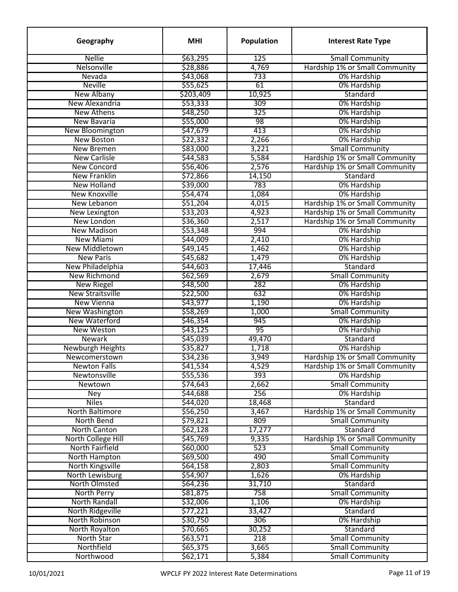| Geography                           | <b>MHI</b> | <b>Population</b> | <b>Interest Rate Type</b>                     |
|-------------------------------------|------------|-------------------|-----------------------------------------------|
| <b>Nellie</b>                       | \$63,295   | 125               | <b>Small Community</b>                        |
| Nelsonville                         | \$28,886   | 4,769             | Hardship 1% or Small Community                |
| Nevada                              | \$43,068   | 733               | 0% Hardship                                   |
| <b>Neville</b>                      | \$55,625   | 61                | 0% Hardship                                   |
| <b>New Albany</b>                   | \$203,409  | 10,925            | Standard                                      |
| New Alexandria                      | \$53,333   | 309               | 0% Hardship                                   |
| <b>New Athens</b>                   | \$48,250   | 325               | 0% Hardship                                   |
| <b>New Bavaria</b>                  | \$55,000   | 98                | 0% Hardship                                   |
| New Bloomington                     | \$47,679   | 413               | 0% Hardship                                   |
| <b>New Boston</b>                   | \$22,332   | 2,266             | 0% Hardship                                   |
| <b>New Bremen</b>                   | \$83,000   | 3,221             | <b>Small Community</b>                        |
| <b>New Carlisle</b>                 | \$44,583   | 5,584             | Hardship 1% or Small Community                |
| <b>New Concord</b>                  | \$56,406   | 2,576             | Hardship 1% or Small Community                |
| <b>New Franklin</b>                 | \$72,866   | 14,150            | Standard                                      |
| <b>New Holland</b>                  | \$39,000   | 783               | 0% Hardship                                   |
| New Knoxville                       | \$54,474   | 1,084             | 0% Hardship                                   |
| New Lebanon                         | \$51,204   | 4,015             | Hardship 1% or Small Community                |
| <b>New Lexington</b>                | \$33,203   | 4,923             | Hardship 1% or Small Community                |
| New London                          | \$36,360   | 2,517             | Hardship 1% or Small Community                |
| <b>New Madison</b>                  | \$53,348   | 994               | 0% Hardship                                   |
| <b>New Miami</b>                    | \$44,009   | 2,410             | 0% Hardship                                   |
| New Middletown                      | \$49,145   | 1,462             | 0% Hardship                                   |
| <b>New Paris</b>                    | \$45,682   | 1,479             | 0% Hardship                                   |
| New Philadelphia                    | \$44,603   | 17,446            | Standard                                      |
| New Richmond                        | \$62,569   | 2,679             | <b>Small Community</b>                        |
| <b>New Riegel</b>                   | \$48,500   | 282               | 0% Hardship                                   |
| <b>New Straitsville</b>             | \$22,500   | 632               | 0% Hardship                                   |
| <b>New Vienna</b>                   | \$43,977   | 1,190             | 0% Hardship                                   |
| <b>New Washington</b>               | \$58,269   | 1,000             | <b>Small Community</b>                        |
| New Waterford                       | \$46,354   | 945               | 0% Hardship                                   |
| <b>New Weston</b>                   | \$43,125   | 95                | 0% Hardship                                   |
| <b>Newark</b>                       | \$45,039   | 49,470            | Standard                                      |
| Newburgh Heights                    | \$35,827   | 1,718             | 0% Hardship                                   |
|                                     | \$34,236   | 3,949             | Hardship 1% or Small Community                |
| Newcomerstown                       |            |                   |                                               |
| <b>Newton Falls</b><br>Newtonsville | 541,534    | 4,529<br>393      | Hardship 1% or Small Community<br>0% Hardship |
| Newtown                             | \$55,536   |                   | <b>Small Community</b>                        |
|                                     | \$74,643   | 2,662             |                                               |
| Ney<br><b>Niles</b>                 | \$44,688   | 256               | 0% Hardship<br>Standard                       |
|                                     | \$44,020   | 18,468            |                                               |
| North Baltimore                     | \$56,250   | 3,467             | Hardship 1% or Small Community                |
| North Bend                          | \$79,821   | 809               | <b>Small Community</b>                        |
| North Canton                        | \$62,128   | 17,277            | Standard                                      |
| North College Hill                  | \$45,769   | 9,335             | Hardship 1% or Small Community                |
| North Fairfield                     | \$60,000   | 523               | <b>Small Community</b>                        |
| North Hampton                       | \$69,500   | 490               | <b>Small Community</b>                        |
| North Kingsville                    | \$64,158   | 2,803             | <b>Small Community</b>                        |
| North Lewisburg                     | \$54,907   | 1,626             | 0% Hardship                                   |
| North Olmsted                       | \$64,236   | 31,710            | Standard                                      |
| North Perry                         | \$81,875   | 758               | <b>Small Community</b>                        |
| <b>North Randall</b>                | \$32,006   | 1,106             | 0% Hardship                                   |
| North Ridgeville                    | \$77,221   | 33,427            | Standard                                      |
| North Robinson                      | \$30,750   | 306               | 0% Hardship                                   |
| North Royalton                      | \$70,665   | 30,252            | Standard                                      |
| North Star                          | \$63,571   | 218               | <b>Small Community</b>                        |
| Northfield                          | \$65,375   | 3,665             | <b>Small Community</b>                        |
| Northwood                           | \$62,171   | 5,384             | <b>Small Community</b>                        |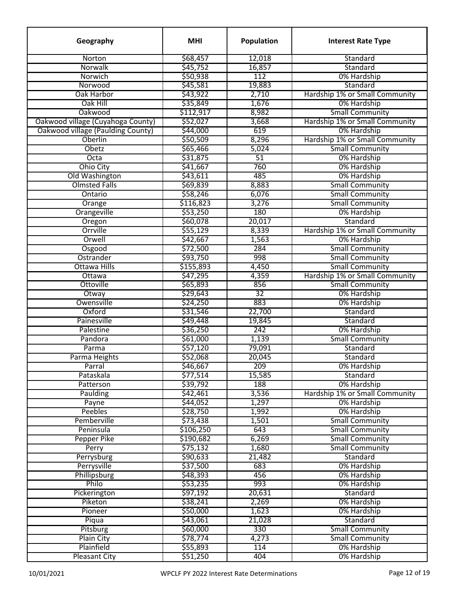| Geography                         | <b>MHI</b> | Population | <b>Interest Rate Type</b>      |
|-----------------------------------|------------|------------|--------------------------------|
| Norton                            | \$68,457   | 12,018     | Standard                       |
| Norwalk                           | \$45,752   | 16,857     | Standard                       |
| Norwich                           | \$50,938   | 112        | 0% Hardship                    |
| Norwood                           | \$45,581   | 19,883     | Standard                       |
| Oak Harbor                        | \$43,922   | 2,710      | Hardship 1% or Small Community |
| Oak Hill                          | \$35,849   | 1,676      | 0% Hardship                    |
| Oakwood                           | \$112,917  | 8,982      | <b>Small Community</b>         |
| Oakwood village (Cuyahoga County) | \$52,027   | 3,668      | Hardship 1% or Small Community |
| Oakwood village (Paulding County) | \$44,000   | 619        | 0% Hardship                    |
| Oberlin                           | \$50,509   | 8,296      | Hardship 1% or Small Community |
| Obetz                             | \$65,466   | 5,024      | <b>Small Community</b>         |
| Octa                              | \$31,875   | 51         | 0% Hardship                    |
| <b>Ohio City</b>                  | \$41,667   | 760        | 0% Hardship                    |
| Old Washington                    | \$43,611   | 485        | 0% Hardship                    |
| <b>Olmsted Falls</b>              | \$69,839   | 8,883      | <b>Small Community</b>         |
| Ontario                           | \$58,246   | 6,076      | <b>Small Community</b>         |
| Orange                            | \$116,823  | 3,276      | <b>Small Community</b>         |
| Orangeville                       | \$53,250   | 180        | 0% Hardship                    |
| Oregon                            | \$60,078   | 20,017     | Standard                       |
| Orrville                          | \$55,129   | 8,339      | Hardship 1% or Small Community |
| Orwell                            | \$42,667   | 1,563      | 0% Hardship                    |
| Osgood                            | \$72,500   | 284        | <b>Small Community</b>         |
| Ostrander                         | \$93,750   | 998        | <b>Small Community</b>         |
| <b>Ottawa Hills</b>               | \$155,893  | 4,450      | <b>Small Community</b>         |
| Ottawa                            | \$47,295   | 4,359      | Hardship 1% or Small Community |
| Ottoville                         | \$65,893   | 856        | <b>Small Community</b>         |
| Otway                             | \$29,643   | 32         | 0% Hardship                    |
| Owensville                        | \$24,250   | 883        | 0% Hardship                    |
| Oxford                            | \$31,546   | 22,700     | Standard                       |
| Painesville                       | \$49,448   | 19,845     | Standard                       |
| Palestine                         | \$36,250   | 242        | 0% Hardship                    |
| Pandora                           | \$61,000   | 1,139      | <b>Small Community</b>         |
| Parma                             | \$57,120   | 79,091     | Standard                       |
| Parma Heights                     | \$52,068   | 20,045     | Standard                       |
| Parral                            | \$46,667   | 209        | 0% Hardship                    |
| Pataskala                         | \$77,514   | 15,585     | Standard                       |
| Patterson                         | \$39,792   | 188        | 0% Hardship                    |
| <b>Paulding</b>                   | \$42,461   | 3,536      | Hardship 1% or Small Community |
| Payne                             | \$44,052   | 1,297      | 0% Hardship                    |
| Peebles                           | \$28,750   | 1,992      | 0% Hardship                    |
| Pemberville                       | \$73,438   | 1,501      | <b>Small Community</b>         |
| Peninsula                         | \$106,250  | 643        | <b>Small Community</b>         |
| <b>Pepper Pike</b>                | \$190,682  | 6,269      | <b>Small Community</b>         |
| Perry                             | \$75,132   | 1,680      | <b>Small Community</b>         |
| Perrysburg                        | \$90,633   | 21,482     | Standard                       |
| Perrysville                       | \$37,500   | 683        | 0% Hardship                    |
| Phillipsburg                      | \$48,393   | 456        | 0% Hardship                    |
| Philo                             | \$53,235   | 993        | 0% Hardship                    |
| Pickerington                      | \$97,192   | 20,631     | Standard                       |
|                                   |            |            | 0% Hardship                    |
| Piketon                           | \$38,241   | 2,269      |                                |
| Pioneer                           | \$50,000   | 1,623      | 0% Hardship                    |
| Piqua                             | \$43,061   | 21,028     | Standard                       |
| Pitsburg                          | \$60,000   | 330        | <b>Small Community</b>         |
| <b>Plain City</b>                 | \$78,774   | 4,273      | <b>Small Community</b>         |
| Plainfield                        | \$55,893   | 114        | 0% Hardship                    |
| <b>Pleasant City</b>              | \$51,250   | 404        | 0% Hardship                    |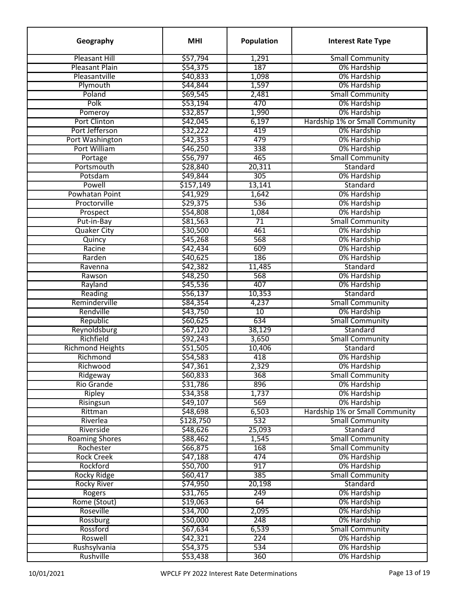| Geography                     | <b>MHI</b> | <b>Population</b> | <b>Interest Rate Type</b>                     |
|-------------------------------|------------|-------------------|-----------------------------------------------|
| <b>Pleasant Hill</b>          | \$57,794   | 1,291             | <b>Small Community</b>                        |
| <b>Pleasant Plain</b>         | \$54,375   | 187               | 0% Hardship                                   |
| Pleasantville                 | \$40,833   | 1,098             | 0% Hardship                                   |
| Plymouth                      | \$44,844   | 1,597             | 0% Hardship                                   |
| Poland                        | \$69,545   | 2,481             | <b>Small Community</b>                        |
| Polk                          | \$53,194   | 470               | 0% Hardship                                   |
| Pomeroy                       | \$32,857   | 1,990             | 0% Hardship                                   |
| Port Clinton                  | \$42,045   | 6,197             | Hardship 1% or Small Community                |
| Port Jefferson                | \$32,222   | 419               | 0% Hardship                                   |
| Port Washington               | \$42,353   | 479               | 0% Hardship                                   |
| Port William                  | \$46,250   | 338               | 0% Hardship                                   |
| Portage                       | \$56,797   | 465               | <b>Small Community</b>                        |
| Portsmouth                    | \$28,840   | 20,311            | Standard                                      |
| Potsdam                       | \$49,844   | 305               | 0% Hardship                                   |
| Powell                        | \$157,149  | 13,141            | Standard                                      |
| Powhatan Point                | \$41,929   | 1,642             | 0% Hardship                                   |
| Proctorville                  | \$29,375   | 536               | 0% Hardship                                   |
| Prospect                      | \$54,808   | 1,084             | 0% Hardship                                   |
| Put-in-Bay                    | \$81,563   | $\overline{71}$   | <b>Small Community</b>                        |
| <b>Quaker City</b>            | \$30,500   | 461               | 0% Hardship                                   |
| Quincy                        | \$45,268   | 568               | 0% Hardship                                   |
| Racine                        | \$42,434   | 609               | 0% Hardship                                   |
| Rarden                        | \$40,625   | 186               | 0% Hardship                                   |
| Ravenna                       | \$42,382   | 11,485            | Standard                                      |
| Rawson                        | \$48,250   | 568               | 0% Hardship                                   |
| Rayland                       | \$45,536   | 407               | 0% Hardship                                   |
| Reading                       | \$56,137   | 10,353            | Standard                                      |
| Reminderville                 | \$84,354   | 4,237             | <b>Small Community</b>                        |
| Rendville                     | \$43,750   | 10                | 0% Hardship                                   |
| Republic                      | \$60,625   | 634               | <b>Small Community</b>                        |
| Reynoldsburg                  | \$67,120   | 38,129            | Standard                                      |
| Richfield                     | \$92,243   | 3,650             | <b>Small Community</b>                        |
| <b>Richmond Heights</b>       | \$51,505   | 10,406            | Standard                                      |
| Richmond                      | \$54,583   | 418               | 0% Hardship                                   |
|                               |            |                   |                                               |
| Richwood                      | \$47,361   | 2,329<br>368      | 0% Hardship<br><b>Small Community</b>         |
| Ridgeway<br><b>Rio Grande</b> | \$60,833   | 896               |                                               |
|                               | \$31,786   |                   | 0% Hardship                                   |
| <b>Ripley</b>                 | \$34,358   | 1,737<br>569      | 0% Hardship                                   |
| Risingsun                     | \$49,107   |                   | 0% Hardship<br>Hardship 1% or Small Community |
| Rittman                       | \$48,698   | 6,503             |                                               |
| Riverlea                      | \$128,750  | 532               | <b>Small Community</b>                        |
| Riverside                     | \$48,626   | 25,093            | Standard                                      |
| <b>Roaming Shores</b>         | \$88,462   | 1,545             | <b>Small Community</b>                        |
| Rochester                     | \$66,875   | 168               | <b>Small Community</b>                        |
| <b>Rock Creek</b>             | \$47,188   | 474               | 0% Hardship                                   |
| Rockford                      | \$50,700   | 917               | 0% Hardship                                   |
| <b>Rocky Ridge</b>            | \$60,417   | 385               | <b>Small Community</b>                        |
| <b>Rocky River</b>            | \$74,950   | 20,198            | Standard                                      |
| Rogers                        | \$31,765   | 249               | 0% Hardship                                   |
| Rome (Stout)                  | \$19,063   | 64                | 0% Hardship                                   |
| Roseville                     | \$34,700   | 2,095             | 0% Hardship                                   |
| Rossburg                      | \$50,000   | 248               | 0% Hardship                                   |
| Rossford                      | \$67,634   | 6,539             | <b>Small Community</b>                        |
| Roswell                       | \$42,321   | 224               | 0% Hardship                                   |
| Rushsylvania                  | \$54,375   | 534               | 0% Hardship                                   |
| Rushville                     | 553,438    | 360               | 0% Hardship                                   |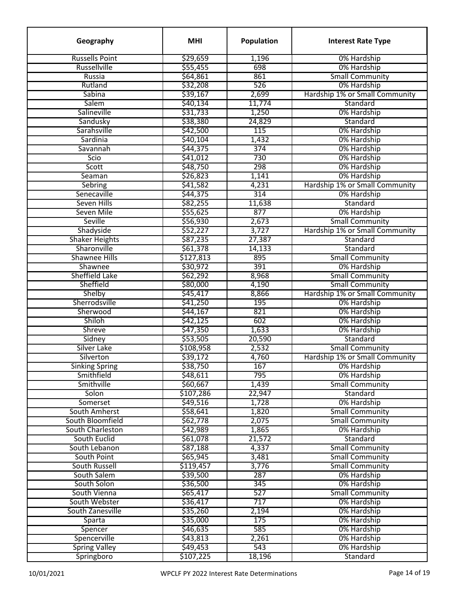| Geography             | <b>MHI</b> | Population       | <b>Interest Rate Type</b>      |
|-----------------------|------------|------------------|--------------------------------|
| <b>Russells Point</b> | \$29,659   | 1,196            | 0% Hardship                    |
| Russellville          | \$55,455   | 698              | 0% Hardship                    |
| Russia                | \$64,861   | 861              | <b>Small Community</b>         |
| Rutland               | \$32,208   | 526              | 0% Hardship                    |
| Sabina                | \$39,167   | 2,699            | Hardship 1% or Small Community |
| Salem                 | \$40,134   | 11,774           | Standard                       |
| Salineville           | \$31,733   | 1,250            | 0% Hardship                    |
| Sandusky              | \$38,380   | 24,829           | Standard                       |
| Sarahsville           | \$42,500   | 115              | 0% Hardship                    |
| Sardinia              | \$40,104   | 1,432            | 0% Hardship                    |
| Savannah              | \$44,375   | 374              | 0% Hardship                    |
| Scio                  | \$41,012   | 730              | 0% Hardship                    |
| Scott                 | \$48,750   | 298              | 0% Hardship                    |
| Seaman                | \$26,823   | 1,141            | 0% Hardship                    |
| Sebring               | \$41,582   | 4,231            | Hardship 1% or Small Community |
| Senecaville           | \$44,375   | 314              | 0% Hardship                    |
| <b>Seven Hills</b>    | \$82,255   | 11,638           | Standard                       |
| Seven Mile            | \$55,625   | 877              | 0% Hardship                    |
| Seville               | \$56,930   | 2,673            | <b>Small Community</b>         |
| Shadyside             | \$52,227   | 3,727            | Hardship 1% or Small Community |
| <b>Shaker Heights</b> | \$87,235   | 27,387           | Standard                       |
| Sharonville           | \$61,378   | 14,133           | Standard                       |
| <b>Shawnee Hills</b>  |            | 895              |                                |
|                       | \$127,813  | 391              | <b>Small Community</b>         |
| Shawnee               | \$30,972   |                  | 0% Hardship                    |
| Sheffield Lake        | \$62,292   | 8,968            | <b>Small Community</b>         |
| Sheffield             | \$80,000   | 4,190            | <b>Small Community</b>         |
| Shelby                | \$45,417   | 8,866            | Hardship 1% or Small Community |
| Sherrodsville         | \$41,250   | 195              | 0% Hardship                    |
| Sherwood              | \$44,167   | 821              | 0% Hardship                    |
| Shiloh                | \$42,125   | 602              | 0% Hardship                    |
| <b>Shreve</b>         | \$47,350   | 1,633            | 0% Hardship                    |
| Sidney                | \$53,505   | 20,590           | Standard                       |
| Silver Lake           | \$108,958  | 2,532            | <b>Small Community</b>         |
| Silverton             | \$39,172   | 4,760            | Hardship 1% or Small Community |
| <b>Sinking Spring</b> | \$38,750   | 167              | 0% Hardship                    |
| Smithfield            | \$48,611   | 795              | 0% Hardship                    |
| Smithville            | \$60,667   | 1,439            | <b>Small Community</b>         |
| Solon                 | \$107,286  | 22,947           | Standard                       |
| Somerset              | \$49,516   | 1,728            | 0% Hardship                    |
| South Amherst         | \$58,641   | 1,820            | <b>Small Community</b>         |
| South Bloomfield      | \$62,778   | 2,075            | <b>Small Community</b>         |
| South Charleston      | \$42,989   | 1,865            | 0% Hardship                    |
| South Euclid          | \$61,078   | 21,572           | Standard                       |
| South Lebanon         | \$87,188   | 4,337            | <b>Small Community</b>         |
| South Point           | \$65,945   | 3,481            | <b>Small Community</b>         |
| <b>South Russell</b>  | \$119,457  | 3,776            | <b>Small Community</b>         |
| South Salem           | \$39,500   | 287              | 0% Hardship                    |
| South Solon           | \$36,500   | 345              | 0% Hardship                    |
| South Vienna          | \$65,417   | 527              | <b>Small Community</b>         |
| South Webster         | \$36,417   | 717              | 0% Hardship                    |
| South Zanesville      | \$35,260   | 2,194            | 0% Hardship                    |
| Sparta                | \$35,000   | 175              | 0% Hardship                    |
| Spencer               | \$46,635   | 585              | 0% Hardship                    |
| Spencerville          | \$43,813   | 2,261            | 0% Hardship                    |
| <b>Spring Valley</b>  | \$49,453   | $\overline{543}$ | 0% Hardship                    |
| Springboro            | \$107,225  | 18,196           | Standard                       |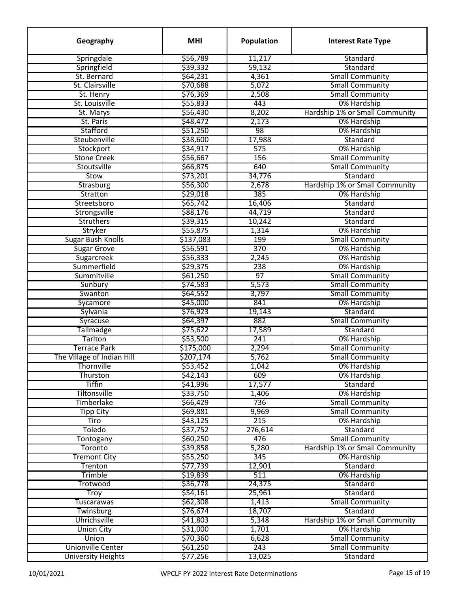| Geography                  | <b>MHI</b> | Population      | <b>Interest Rate Type</b>      |
|----------------------------|------------|-----------------|--------------------------------|
| Springdale                 | \$56,789   | 11,217          | Standard                       |
| Springfield                | \$39,332   | 59,132          | Standard                       |
| St. Bernard                | \$64,231   | 4,361           | <b>Small Community</b>         |
| St. Clairsville            | \$70,688   | 5,072           | <b>Small Community</b>         |
| St. Henry                  | \$76,369   | 2,508           | <b>Small Community</b>         |
| St. Louisville             | \$55,833   | 443             | 0% Hardship                    |
| St. Marys                  | \$56,430   | 8,202           | Hardship 1% or Small Community |
| St. Paris                  | \$48,472   | 2,173           | 0% Hardship                    |
| Stafford                   | \$51,250   | 98              | 0% Hardship                    |
| Steubenville               | \$38,600   | 17,988          | Standard                       |
| Stockport                  | \$34,917   | 575             | 0% Hardship                    |
| <b>Stone Creek</b>         | \$56,667   | 156             | <b>Small Community</b>         |
| Stoutsville                | \$66,875   | 640             | <b>Small Community</b>         |
| Stow                       | \$73,201   | 34,776          | Standard                       |
| Strasburg                  | \$56,300   | 2,678           | Hardship 1% or Small Community |
| Stratton                   | \$29,018   | 385             | 0% Hardship                    |
| Streetsboro                | \$65,742   | 16,406          | Standard                       |
| Strongsville               | \$88,176   | 44,719          | Standard                       |
| <b>Struthers</b>           | \$39,315   | 10,242          | Standard                       |
| Stryker                    | \$55,875   | 1,314           | 0% Hardship                    |
| <b>Sugar Bush Knolls</b>   | \$137,083  | 199             | <b>Small Community</b>         |
|                            |            | 370             |                                |
| <b>Sugar Grove</b>         | \$56,591   |                 | 0% Hardship                    |
| Sugarcreek<br>Summerfield  | \$56,333   | 2,245           | 0% Hardship                    |
|                            | \$29,375   | 238             | 0% Hardship                    |
| Summitville                | \$61,250   | $\overline{97}$ | <b>Small Community</b>         |
| Sunbury                    | \$74,583   | 5,573           | <b>Small Community</b>         |
| Swanton                    | \$64,552   | 3,797           | <b>Small Community</b>         |
| Sycamore                   | \$45,000   | 841             | 0% Hardship                    |
| Sylvania                   | \$76,923   | 19,143          | Standard                       |
| Syracuse                   | \$64,397   | 882             | <b>Small Community</b>         |
| <b>Tallmadge</b>           | \$75,622   | 17,589          | Standard                       |
| Tarlton                    | \$53,500   | 241             | 0% Hardship                    |
| Terrace Park               | \$175,000  | 2,294           | <b>Small Community</b>         |
| The Village of Indian Hill | \$207,174  | 5,762           | <b>Small Community</b>         |
| Thornville                 | \$53,452   | 1,042           | 0% Hardship                    |
| Thurston                   | \$42,143   | 609             | 0% Hardship                    |
| <b>Tiffin</b>              | \$41,996   | 17,577          | Standard                       |
| Tiltonsville               | \$33,750   | 1,406           | 0% Hardship                    |
| Timberlake                 | \$66,429   | 736             | <b>Small Community</b>         |
| <b>Tipp City</b>           | \$69,881   | 9,969           | <b>Small Community</b>         |
| Tiro                       | \$43,125   | 215             | 0% Hardship                    |
| Toledo                     | \$37,752   | 276,614         | Standard                       |
| Tontogany                  | \$60,250   | 476             | <b>Small Community</b>         |
| <b>Toronto</b>             | \$39,858   | 5,280           | Hardship 1% or Small Community |
| <b>Tremont City</b>        | \$55,250   | 345             | 0% Hardship                    |
| Trenton                    | \$77,739   | 12,901          | Standard                       |
| Trimble                    | \$19,839   | 511             | 0% Hardship                    |
| Trotwood                   | \$36,778   | 24,375          | Standard                       |
| <b>Troy</b>                | \$54,161   | 25,961          | Standard                       |
| <b>Tuscarawas</b>          | \$62,308   | 1,413           | <b>Small Community</b>         |
| Twinsburg                  | \$76,674   | 18,707          | Standard                       |
| <b>Uhrichsville</b>        | \$41,803   | 5,348           | Hardship 1% or Small Community |
| <b>Union City</b>          | \$31,000   | 1,701           | 0% Hardship                    |
| Union                      | \$70,360   | 6,628           | <b>Small Community</b>         |
| <b>Unionville Center</b>   | \$61,250   | 243             | <b>Small Community</b>         |
| <b>University Heights</b>  | \$77,256   | 13,025          | Standard                       |
|                            |            |                 |                                |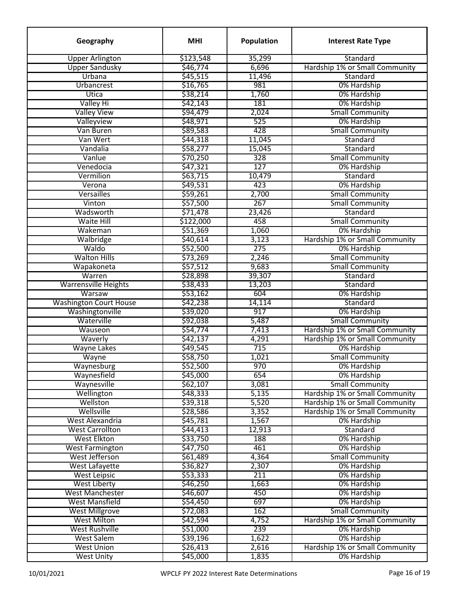| Geography                     | <b>MHI</b> | Population | <b>Interest Rate Type</b>      |
|-------------------------------|------------|------------|--------------------------------|
| <b>Upper Arlington</b>        | \$123,548  | 35,299     | Standard                       |
| <b>Upper Sandusky</b>         | \$46,774   | 6,696      | Hardship 1% or Small Community |
| Urbana                        | \$45,515   | 11,496     | Standard                       |
| Urbancrest                    | \$16,765   | 981        | 0% Hardship                    |
| Utica                         | \$38,214   | 1,760      | 0% Hardship                    |
| Valley Hi                     | \$42,143   | 181        | 0% Hardship                    |
| <b>Valley View</b>            | \$94,479   | 2,024      | <b>Small Community</b>         |
| Valleyview                    | \$48,971   | 525        | 0% Hardship                    |
| Van Buren                     | \$89,583   | 428        | <b>Small Community</b>         |
| Van Wert                      | \$44,318   | 11,045     | Standard                       |
| Vandalia                      | \$58,277   | 15,045     | Standard                       |
| Vanlue                        | \$70,250   | 328        | <b>Small Community</b>         |
| Venedocia                     | \$47,321   | 127        | 0% Hardship                    |
| Vermilion                     | \$63,715   | 10,479     | Standard                       |
| Verona                        | \$49,531   | 423        | 0% Hardship                    |
| Versailles                    | \$59,261   | 2,700      | <b>Small Community</b>         |
| Vinton                        | \$57,500   | 267        | <b>Small Community</b>         |
| Wadsworth                     | \$71,478   | 23,426     | Standard                       |
| <b>Waite Hill</b>             | \$122,000  | 458        | <b>Small Community</b>         |
| Wakeman                       | \$51,369   | 1,060      | 0% Hardship                    |
| Walbridge                     | \$40,614   | 3,123      | Hardship 1% or Small Community |
| Waldo                         | \$52,500   | 275        | 0% Hardship                    |
| <b>Walton Hills</b>           | \$73,269   | 2,246      | <b>Small Community</b>         |
| Wapakoneta                    | \$57,512   | 9,683      | <b>Small Community</b>         |
| Warren                        | \$28,898   | 39,307     | Standard                       |
| <b>Warrensville Heights</b>   | \$38,433   | 13,203     | Standard                       |
| Warsaw                        | \$53,162   | 604        | 0% Hardship                    |
| <b>Washington Court House</b> | \$42,238   | 14,114     | Standard                       |
| Washingtonville               | \$39,020   | 917        | 0% Hardship                    |
| Waterville                    | \$92,038   | 5,487      | <b>Small Community</b>         |
| Wauseon                       | \$54,774   | 7,413      | Hardship 1% or Small Community |
| Waverly                       | \$42,137   | 4,291      | Hardship 1% or Small Community |
| <b>Wayne Lakes</b>            | \$49,545   | 715        | 0% Hardship                    |
| Wayne                         | \$58,750   | 1,021      | <b>Small Community</b>         |
| Waynesburg                    | \$52,500   | 970        | 0% Hardship                    |
| Waynesfield                   | \$45,000   | 654        | 0% Hardship                    |
| Waynesville                   | \$62,107   | 3,081      | <b>Small Community</b>         |
| Wellington                    | \$48,333   | 5,135      | Hardship 1% or Small Community |
| Wellston                      | \$39,318   | 5,520      | Hardship 1% or Small Community |
| Wellsville                    | \$28,586   | 3,352      | Hardship 1% or Small Community |
| West Alexandria               | \$45,781   | 1,567      | 0% Hardship                    |
| <b>West Carrollton</b>        | \$44,413   | 12,913     | Standard                       |
| <b>West Elkton</b>            | \$33,750   | 188        | 0% Hardship                    |
| <b>West Farmington</b>        | \$47,750   | 461        | 0% Hardship                    |
| West Jefferson                | \$61,489   | 4,364      | <b>Small Community</b>         |
| <b>West Lafayette</b>         | \$36,827   | 2,307      | 0% Hardship                    |
| <b>West Leipsic</b>           | \$53,333   | 211        | 0% Hardship                    |
| <b>West Liberty</b>           | \$46,250   | 1,663      | 0% Hardship                    |
| <b>West Manchester</b>        | \$46,607   | 450        | 0% Hardship                    |
| <b>West Mansfield</b>         | \$54,450   | 697        | 0% Hardship                    |
| <b>West Millgrove</b>         | \$72,083   | 162        | <b>Small Community</b>         |
| <b>West Milton</b>            | \$42,594   | 4,752      | Hardship 1% or Small Community |
| <b>West Rushville</b>         | \$51,000   | 239        | 0% Hardship                    |
| <b>West Salem</b>             | \$39,196   | 1,622      | 0% Hardship                    |
| <b>West Union</b>             | \$26,413   | 2,616      | Hardship 1% or Small Community |
| <b>West Unity</b>             | \$45,000   | 1,835      | 0% Hardship                    |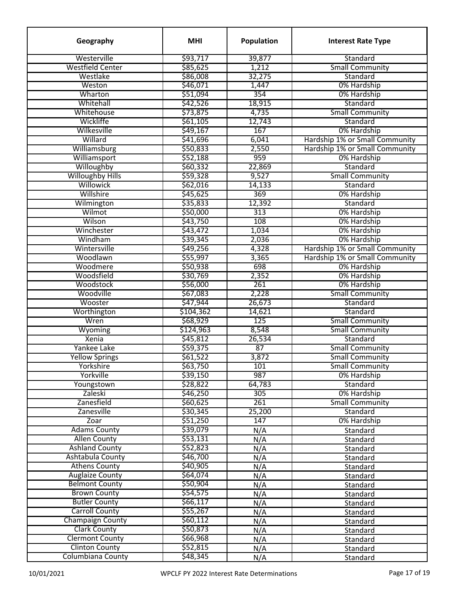| Geography                | <b>MHI</b> | <b>Population</b> | <b>Interest Rate Type</b>      |
|--------------------------|------------|-------------------|--------------------------------|
| Westerville              | \$93,717   | 39,877            | Standard                       |
| <b>Westfield Center</b>  | \$85,625   | 1,212             | <b>Small Community</b>         |
| Westlake                 | \$86,008   | 32,275            | Standard                       |
| Weston                   | \$46,071   | 1,447             | 0% Hardship                    |
| Wharton                  | \$51,094   | 354               | 0% Hardship                    |
| Whitehall                | \$42,526   | 18,915            | Standard                       |
| Whitehouse               | \$73,875   | 4,735             | <b>Small Community</b>         |
| Wickliffe                | \$61,105   | 12,743            | Standard                       |
| Wilkesville              | \$49,167   | 167               | 0% Hardship                    |
| Willard                  | \$41,696   | 6,041             | Hardship 1% or Small Community |
| Williamsburg             | \$50,833   | 2,550             | Hardship 1% or Small Community |
| Williamsport             | \$52,188   | 959               | 0% Hardship                    |
| Willoughby               | \$60,332   | 22,869            | Standard                       |
| <b>Willoughby Hills</b>  | \$59,328   | 9,527             | <b>Small Community</b>         |
| Willowick                | \$62,016   | 14,133            | Standard                       |
| Willshire                | \$45,625   | 369               | 0% Hardship                    |
| Wilmington               | \$35,833   | 12,392            | Standard                       |
| Wilmot                   | \$50,000   | 313               | 0% Hardship                    |
| Wilson                   | \$43,750   | 108               | 0% Hardship                    |
| Winchester               | \$43,472   | 1,034             | 0% Hardship                    |
| Windham                  | \$39,345   | 2,036             | 0% Hardship                    |
| Wintersville             | \$49,256   | 4,328             | Hardship 1% or Small Community |
| Woodlawn                 | \$55,997   | 3,365             | Hardship 1% or Small Community |
| Woodmere                 | \$50,938   | 698               | 0% Hardship                    |
| Woodsfield               | \$30,769   | 2,352             | 0% Hardship                    |
| Woodstock                | \$56,000   | 261               | 0% Hardship                    |
| Woodville                | \$67,083   | 2,228             | <b>Small Community</b>         |
| Wooster                  | \$47,944   | 26,673            | Standard                       |
| Worthington              | \$104,362  | 14,621            | Standard                       |
| Wren                     | \$68,929   | 125               | <b>Small Community</b>         |
| Wyoming                  | \$124,963  | 8,548             | <b>Small Community</b>         |
| <b>Xenia</b>             | \$45,812   | 26,534            | Standard                       |
| Yankee Lake              | \$59,375   | 87                | <b>Small Community</b>         |
|                          | \$61,522   | 3,872             | <b>Small Community</b>         |
| <b>Yellow Springs</b>    |            |                   |                                |
| Yorkshire<br>Yorkville   | \$63,750   | 101<br>987        | <b>Small Community</b>         |
|                          | \$39,150   |                   | 0% Hardship<br>Standard        |
| Youngstown               | \$28,822   | 64,783            |                                |
| Zaleski<br>Zanesfield    | \$46,250   | 305<br>261        | 0% Hardship                    |
|                          | \$60,625   |                   | <b>Small Community</b>         |
| Zanesville<br>Zoar       | \$30,345   | 25,200            | Standard                       |
|                          | \$51,250   | 147               | 0% Hardship                    |
| <b>Adams County</b>      | \$39,079   | N/A               | Standard                       |
| <b>Allen County</b>      | \$53,131   | N/A               | Standard                       |
| <b>Ashland County</b>    | \$52,823   | N/A               | Standard                       |
| Ashtabula County         | \$46,700   | N/A               | Standard                       |
| <b>Athens County</b>     | \$40,905   | N/A               | Standard                       |
| <b>Auglaize County</b>   | \$64,074   | N/A               | Standard                       |
| <b>Belmont County</b>    | \$50,904   | N/A               | Standard                       |
| <b>Brown County</b>      | \$54,575   | N/A               | Standard                       |
| <b>Butler County</b>     | \$66,117   | N/A               | Standard                       |
| <b>Carroll County</b>    | \$55,267   | N/A               | Standard                       |
| <b>Champaign County</b>  | 560,112    | N/A               | Standard                       |
| <b>Clark County</b>      | \$50,873   | N/A               | Standard                       |
| <b>Clermont County</b>   | \$66,968   | N/A               | Standard                       |
| <b>Clinton County</b>    | 552,815    | N/A               | Standard                       |
| <b>Columbiana County</b> | \$48,345   | N/A               | Standard                       |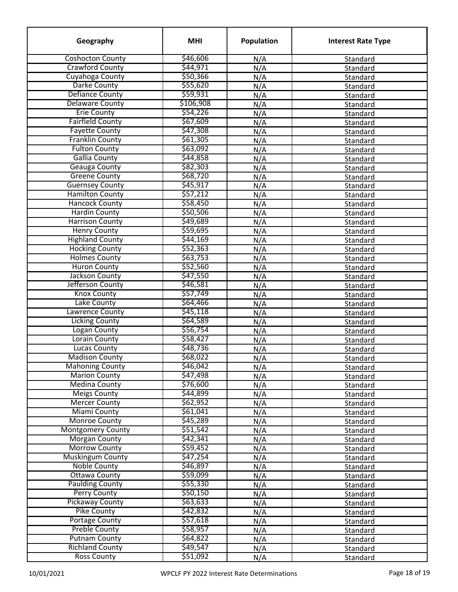| Geography                | <b>MHI</b>           | Population | <b>Interest Rate Type</b> |
|--------------------------|----------------------|------------|---------------------------|
| <b>Coshocton County</b>  | \$46,606             | N/A        | Standard                  |
| <b>Crawford County</b>   | \$44,971             | N/A        | Standard                  |
| Cuyahoga County          | \$50,366             | N/A        | Standard                  |
| Darke County             | \$55,620             | N/A        | Standard                  |
| <b>Defiance County</b>   | \$59,931             | N/A        | Standard                  |
| <b>Delaware County</b>   | \$106,908            | N/A        | Standard                  |
| <b>Erie County</b>       | \$54,226             | N/A        | Standard                  |
| <b>Fairfield County</b>  | \$67,609             | N/A        | Standard                  |
| <b>Fayette County</b>    | \$47,308             | N/A        | Standard                  |
| <b>Franklin County</b>   | \$61,305             | N/A        | Standard                  |
| <b>Fulton County</b>     | \$63,092             | N/A        | Standard                  |
| <b>Gallia County</b>     | \$44,858             | N/A        | Standard                  |
| <b>Geauga County</b>     | \$82,303             | N/A        | Standard                  |
| <b>Greene County</b>     | \$68,720             | N/A        | Standard                  |
| <b>Guernsey County</b>   | \$45,917             | N/A        | Standard                  |
| <b>Hamilton County</b>   | \$57,212             | N/A        | Standard                  |
| <b>Hancock County</b>    | \$58,450             | N/A        | Standard                  |
| <b>Hardin County</b>     | \$50,506             | N/A        | Standard                  |
| <b>Harrison County</b>   | \$49,689             | N/A        | Standard                  |
| <b>Henry County</b>      | \$59,695             | N/A        | Standard                  |
| <b>Highland County</b>   | \$44,169             | N/A        | Standard                  |
| <b>Hocking County</b>    | \$52,363             | N/A        | Standard                  |
| <b>Holmes County</b>     | \$63,753             | N/A        | Standard                  |
| <b>Huron County</b>      | \$52,560             | N/A        | Standard                  |
| Jackson County           | \$47,550             | N/A        | Standard                  |
| Jefferson County         | \$46,581             | N/A        | Standard                  |
| <b>Knox County</b>       | \$57,749             | N/A        | Standard                  |
| Lake County              | \$64,466             |            |                           |
| Lawrence County          | \$45,118             | N/A<br>N/A | Standard<br>Standard      |
| <b>Licking County</b>    | \$64,589             |            |                           |
| Logan County             | \$56,754             | N/A        | Standard                  |
| Lorain County            | \$58,427             | N/A        | Standard                  |
| <b>Lucas County</b>      | \$48,736             | N/A        | Standard                  |
| <b>Madison County</b>    | \$68,022             | N/A        | Standard                  |
| <b>Mahoning County</b>   |                      | N/A        | Standard                  |
|                          | \$46,042<br>\$47,498 | N/A        | Standard                  |
| <b>Marion County</b>     |                      | N/A        | Standard                  |
| <b>Medina County</b>     | \$76,600             | N/A        | Standard                  |
| <b>Meigs County</b>      | \$44,899             | N/A        | Standard                  |
| <b>Mercer County</b>     | \$62,952             | N/A        | Standard                  |
| <b>Miami County</b>      | \$61,041             | N/A        | Standard                  |
| <b>Monroe County</b>     | \$45,289             | N/A        | Standard                  |
| <b>Montgomery County</b> | \$51,542             | N/A        | Standard                  |
| <b>Morgan County</b>     | \$42,341             | N/A        | Standard                  |
| <b>Morrow County</b>     | \$59,452             | N/A        | Standard                  |
| <b>Muskingum County</b>  | \$47,254             | N/A        | Standard                  |
| <b>Noble County</b>      | \$46,897             | N/A        | Standard                  |
| <b>Ottawa County</b>     | \$59,099             | N/A        | Standard                  |
| <b>Paulding County</b>   | \$55,330             | N/A        | Standard                  |
| <b>Perry County</b>      | \$50,150             | N/A        | Standard                  |
| <b>Pickaway County</b>   | \$63,633             | N/A        | Standard                  |
| <b>Pike County</b>       | \$42,832             | N/A        | Standard                  |
| <b>Portage County</b>    | \$57,618             | N/A        | Standard                  |
| <b>Preble County</b>     | \$58,957             | N/A        | Standard                  |
| <b>Putnam County</b>     | \$64,822             | N/A        | Standard                  |
| <b>Richland County</b>   | \$49,547             | N/A        | Standard                  |
| <b>Ross County</b>       | \$51,092             | N/A        | Standard                  |